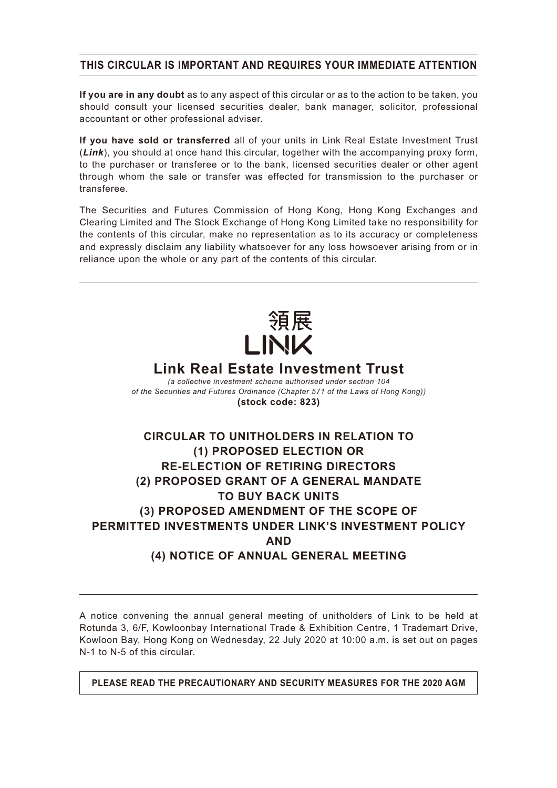## **THIS CIRCULAR IS IMPORTANT AND REQUIRES YOUR IMMEDIATE ATTENTION**

**If you are in any doubt** as to any aspect of this circular or as to the action to be taken, you should consult your licensed securities dealer, bank manager, solicitor, professional accountant or other professional adviser.

**If you have sold or transferred** all of your units in Link Real Estate Investment Trust (*Link*), you should at once hand this circular, together with the accompanying proxy form, to the purchaser or transferee or to the bank, licensed securities dealer or other agent through whom the sale or transfer was effected for transmission to the purchaser or transferee.

The Securities and Futures Commission of Hong Kong, Hong Kong Exchanges and Clearing Limited and The Stock Exchange of Hong Kong Limited take no responsibility for the contents of this circular, make no representation as to its accuracy or completeness and expressly disclaim any liability whatsoever for any loss howsoever arising from or in reliance upon the whole or any part of the contents of this circular.



# **Link Real Estate Investment Trust**

*(a collective investment scheme authorised under section 104 of the Securities and Futures Ordinance (Chapter 571 of the Laws of Hong Kong))* **(stock code: 823)**

# **CIRCULAR TO UNITHOLDERS IN RELATION TO (1) PROPOSED ELECTION OR RE-ELECTION OF RETIRING DIRECTORS (2) PROPOSED GRANT OF A GENERAL MANDATE TO BUY BACK UNITS (3) PROPOSED AMENDMENT OF THE SCOPE OF PERMITTED INVESTMENTS UNDER LINK'S INVESTMENT POLICY AND (4) NOTICE OF ANNUAL GENERAL MEETING**

A notice convening the annual general meeting of unitholders of Link to be held at Rotunda 3, 6/F, Kowloonbay International Trade & Exhibition Centre, 1 Trademart Drive, Kowloon Bay, Hong Kong on Wednesday, 22 July 2020 at 10:00 a.m. is set out on pages N-1 to N-5 of this circular.

**PLEASE READ THE PRECAUTIONARY AND SECURITY MEASURES FOR THE 2020 AGM**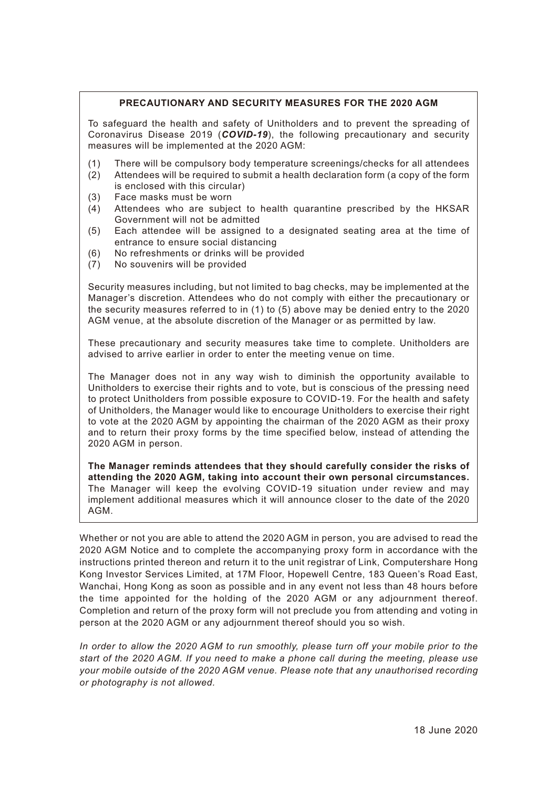### **PRECAUTIONARY AND SECURITY MEASURES FOR THE 2020 AGM**

To safeguard the health and safety of Unitholders and to prevent the spreading of Coronavirus Disease 2019 (*COVID-19*), the following precautionary and security measures will be implemented at the 2020 AGM:

- (1) There will be compulsory body temperature screenings/checks for all attendees
- (2) Attendees will be required to submit a health declaration form (a copy of the form is enclosed with this circular)
- (3) Face masks must be worn
- (4) Attendees who are subject to health quarantine prescribed by the HKSAR Government will not be admitted
- (5) Each attendee will be assigned to a designated seating area at the time of entrance to ensure social distancing
- (6) No refreshments or drinks will be provided
- (7) No souvenirs will be provided

Security measures including, but not limited to bag checks, may be implemented at the Manager's discretion. Attendees who do not comply with either the precautionary or the security measures referred to in (1) to (5) above may be denied entry to the 2020 AGM venue, at the absolute discretion of the Manager or as permitted by law.

These precautionary and security measures take time to complete. Unitholders are advised to arrive earlier in order to enter the meeting venue on time.

The Manager does not in any way wish to diminish the opportunity available to Unitholders to exercise their rights and to vote, but is conscious of the pressing need to protect Unitholders from possible exposure to COVID-19. For the health and safety of Unitholders, the Manager would like to encourage Unitholders to exercise their right to vote at the 2020 AGM by appointing the chairman of the 2020 AGM as their proxy and to return their proxy forms by the time specified below, instead of attending the 2020 AGM in person.

**The Manager reminds attendees that they should carefully consider the risks of attending the 2020 AGM, taking into account their own personal circumstances.** The Manager will keep the evolving COVID-19 situation under review and may implement additional measures which it will announce closer to the date of the 2020 AGM.

Whether or not you are able to attend the 2020 AGM in person, you are advised to read the 2020 AGM Notice and to complete the accompanying proxy form in accordance with the instructions printed thereon and return it to the unit registrar of Link, Computershare Hong Kong Investor Services Limited, at 17M Floor, Hopewell Centre, 183 Queen's Road East, Wanchai, Hong Kong as soon as possible and in any event not less than 48 hours before the time appointed for the holding of the 2020 AGM or any adjournment thereof. Completion and return of the proxy form will not preclude you from attending and voting in person at the 2020 AGM or any adjournment thereof should you so wish.

*In order to allow the 2020 AGM to run smoothly, please turn off your mobile prior to the start of the 2020 AGM. If you need to make a phone call during the meeting, please use your mobile outside of the 2020 AGM venue. Please note that any unauthorised recording or photography is not allowed.*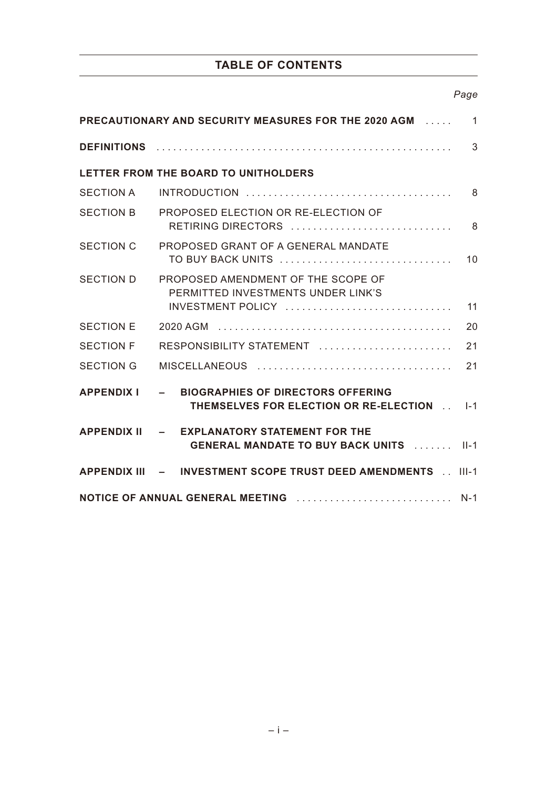## **TABLE OF CONTENTS**

## *Page*

| <b>PRECAUTIONARY AND SECURITY MEASURES FOR THE 2020 AGM</b><br>$\mathbf{1}$ |                                                                                                     |                 |  |
|-----------------------------------------------------------------------------|-----------------------------------------------------------------------------------------------------|-----------------|--|
|                                                                             |                                                                                                     | 3               |  |
|                                                                             | LETTER FROM THE BOARD TO UNITHOLDERS                                                                |                 |  |
| SECTION A                                                                   |                                                                                                     | 8               |  |
| <b>SECTION B</b>                                                            | PROPOSED ELECTION OR RE-ELECTION OF<br>RETIRING DIRECTORS                                           | 8               |  |
| <b>SECTION C</b>                                                            | PROPOSED GRANT OF A GENERAL MANDATE<br>TO BUY BACK UNITS                                            | 10 <sup>1</sup> |  |
| <b>SECTION D</b>                                                            | PROPOSED AMENDMENT OF THE SCOPE OF<br>PERMITTED INVESTMENTS UNDER LINK'S<br>INVESTMENT POLICY<br>11 |                 |  |
| <b>SECTION E</b>                                                            |                                                                                                     | 20              |  |
| <b>SECTION F</b>                                                            | RESPONSIBILITY STATEMENT                                                                            | 21              |  |
| <b>SECTION G</b>                                                            |                                                                                                     | 21              |  |
| <b>APPENDIX I</b>                                                           | - BIOGRAPHIES OF DIRECTORS OFFERING<br>THEMSELVES FOR ELECTION OR RE-ELECTION [14]                  |                 |  |
|                                                                             | APPENDIX II - EXPLANATORY STATEMENT FOR THE<br><b>GENERAL MANDATE TO BUY BACK UNITS [1000000]</b>   |                 |  |
|                                                                             | APPENDIX III - INVESTMENT SCOPE TRUST DEED AMENDMENTS [11-1]                                        |                 |  |
|                                                                             |                                                                                                     |                 |  |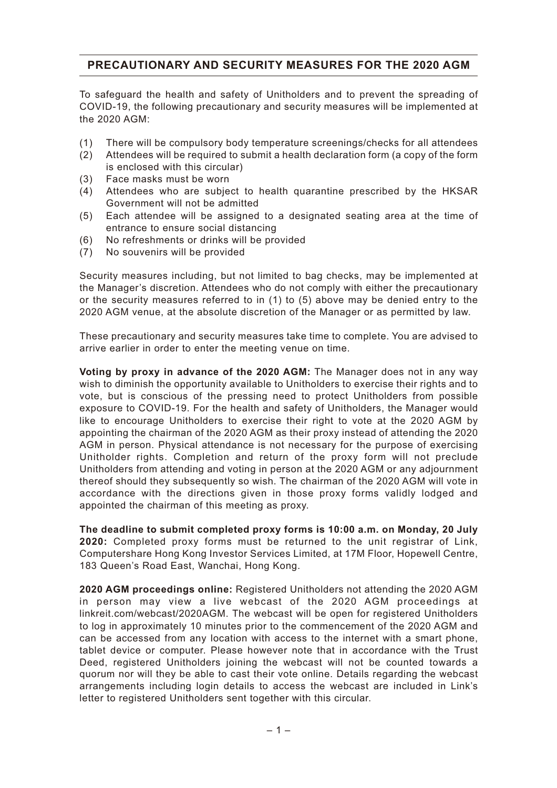## **PRECAUTIONARY AND SECURITY MEASURES FOR THE 2020 AGM**

To safeguard the health and safety of Unitholders and to prevent the spreading of COVID-19, the following precautionary and security measures will be implemented at the 2020 AGM:

- (1) There will be compulsory body temperature screenings/checks for all attendees
- (2) Attendees will be required to submit a health declaration form (a copy of the form is enclosed with this circular)
- (3) Face masks must be worn
- (4) Attendees who are subject to health quarantine prescribed by the HKSAR Government will not be admitted
- (5) Each attendee will be assigned to a designated seating area at the time of entrance to ensure social distancing
- (6) No refreshments or drinks will be provided
- (7) No souvenirs will be provided

Security measures including, but not limited to bag checks, may be implemented at the Manager's discretion. Attendees who do not comply with either the precautionary or the security measures referred to in (1) to (5) above may be denied entry to the 2020 AGM venue, at the absolute discretion of the Manager or as permitted by law.

These precautionary and security measures take time to complete. You are advised to arrive earlier in order to enter the meeting venue on time.

**Voting by proxy in advance of the 2020 AGM:** The Manager does not in any way wish to diminish the opportunity available to Unitholders to exercise their rights and to vote, but is conscious of the pressing need to protect Unitholders from possible exposure to COVID-19. For the health and safety of Unitholders, the Manager would like to encourage Unitholders to exercise their right to vote at the 2020 AGM by appointing the chairman of the 2020 AGM as their proxy instead of attending the 2020 AGM in person. Physical attendance is not necessary for the purpose of exercising Unitholder rights. Completion and return of the proxy form will not preclude Unitholders from attending and voting in person at the 2020 AGM or any adjournment thereof should they subsequently so wish. The chairman of the 2020 AGM will vote in accordance with the directions given in those proxy forms validly lodged and appointed the chairman of this meeting as proxy.

**The deadline to submit completed proxy forms is 10:00 a.m. on Monday, 20 July 2020:** Completed proxy forms must be returned to the unit registrar of Link, Computershare Hong Kong Investor Services Limited, at 17M Floor, Hopewell Centre, 183 Queen's Road East, Wanchai, Hong Kong.

**2020 AGM proceedings online:** Registered Unitholders not attending the 2020 AGM in person may view a live webcast of the 2020 AGM proceedings at linkreit.com/webcast/2020AGM. The webcast will be open for registered Unitholders to log in approximately 10 minutes prior to the commencement of the 2020 AGM and can be accessed from any location with access to the internet with a smart phone, tablet device or computer. Please however note that in accordance with the Trust Deed, registered Unitholders joining the webcast will not be counted towards a quorum nor will they be able to cast their vote online. Details regarding the webcast arrangements including login details to access the webcast are included in Link's letter to registered Unitholders sent together with this circular.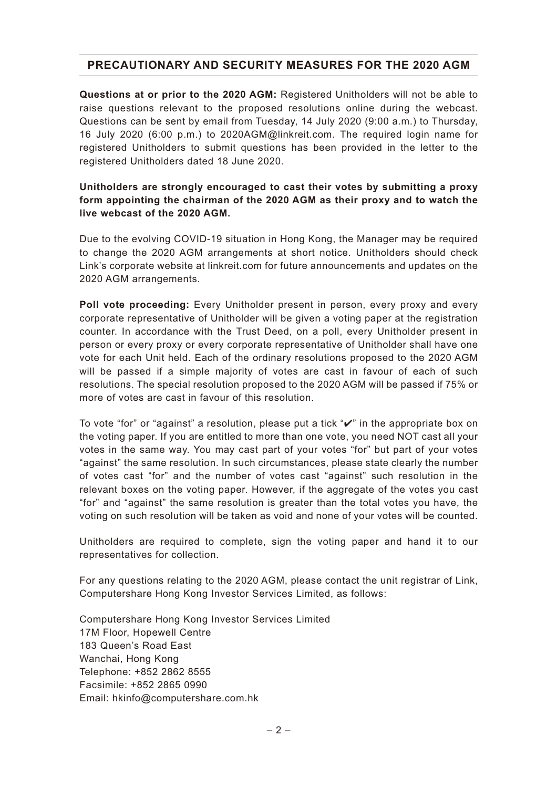## **PRECAUTIONARY AND SECURITY MEASURES FOR THE 2020 AGM**

**Questions at or prior to the 2020 AGM:** Registered Unitholders will not be able to raise questions relevant to the proposed resolutions online during the webcast. Questions can be sent by email from Tuesday, 14 July 2020 (9:00 a.m.) to Thursday, 16 July 2020 (6:00 p.m.) to 2020AGM@linkreit.com. The required login name for registered Unitholders to submit questions has been provided in the letter to the registered Unitholders dated 18 June 2020.

## **Unitholders are strongly encouraged to cast their votes by submitting a proxy form appointing the chairman of the 2020 AGM as their proxy and to watch the live webcast of the 2020 AGM.**

Due to the evolving COVID-19 situation in Hong Kong, the Manager may be required to change the 2020 AGM arrangements at short notice. Unitholders should check Link's corporate website at linkreit.com for future announcements and updates on the 2020 AGM arrangements.

**Poll vote proceeding:** Every Unitholder present in person, every proxy and every corporate representative of Unitholder will be given a voting paper at the registration counter. In accordance with the Trust Deed, on a poll, every Unitholder present in person or every proxy or every corporate representative of Unitholder shall have one vote for each Unit held. Each of the ordinary resolutions proposed to the 2020 AGM will be passed if a simple majority of votes are cast in favour of each of such resolutions. The special resolution proposed to the 2020 AGM will be passed if 75% or more of votes are cast in favour of this resolution.

To vote "for" or "against" a resolution, please put a tick "✔" in the appropriate box on the voting paper. If you are entitled to more than one vote, you need NOT cast all your votes in the same way. You may cast part of your votes "for" but part of your votes "against" the same resolution. In such circumstances, please state clearly the number of votes cast "for" and the number of votes cast "against" such resolution in the relevant boxes on the voting paper. However, if the aggregate of the votes you cast "for" and "against" the same resolution is greater than the total votes you have, the voting on such resolution will be taken as void and none of your votes will be counted.

Unitholders are required to complete, sign the voting paper and hand it to our representatives for collection.

For any questions relating to the 2020 AGM, please contact the unit registrar of Link, Computershare Hong Kong Investor Services Limited, as follows:

Computershare Hong Kong Investor Services Limited 17M Floor, Hopewell Centre 183 Queen's Road East Wanchai, Hong Kong Telephone: +852 2862 8555 Facsimile: +852 2865 0990 Email: hkinfo@computershare.com.hk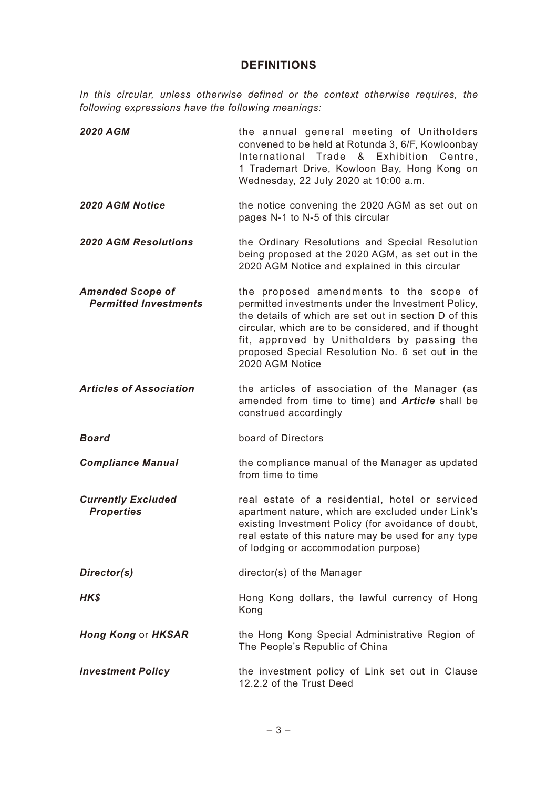*In this circular, unless otherwise defined or the context otherwise requires, the following expressions have the following meanings:*

| <b>2020 AGM</b>                                         | the annual general meeting of Unitholders<br>convened to be held at Rotunda 3, 6/F, Kowloonbay<br>International Trade & Exhibition<br>Centre,<br>1 Trademart Drive, Kowloon Bay, Hong Kong on<br>Wednesday, 22 July 2020 at 10:00 a.m.                                                                                               |
|---------------------------------------------------------|--------------------------------------------------------------------------------------------------------------------------------------------------------------------------------------------------------------------------------------------------------------------------------------------------------------------------------------|
| 2020 AGM Notice                                         | the notice convening the 2020 AGM as set out on<br>pages N-1 to N-5 of this circular                                                                                                                                                                                                                                                 |
| <b>2020 AGM Resolutions</b>                             | the Ordinary Resolutions and Special Resolution<br>being proposed at the 2020 AGM, as set out in the<br>2020 AGM Notice and explained in this circular                                                                                                                                                                               |
| <b>Amended Scope of</b><br><b>Permitted Investments</b> | the proposed amendments to the scope of<br>permitted investments under the Investment Policy,<br>the details of which are set out in section D of this<br>circular, which are to be considered, and if thought<br>fit, approved by Unitholders by passing the<br>proposed Special Resolution No. 6 set out in the<br>2020 AGM Notice |
| <b>Articles of Association</b>                          | the articles of association of the Manager (as<br>amended from time to time) and <b>Article</b> shall be<br>construed accordingly                                                                                                                                                                                                    |
| <b>Board</b>                                            | board of Directors                                                                                                                                                                                                                                                                                                                   |
| <b>Compliance Manual</b>                                | the compliance manual of the Manager as updated<br>from time to time                                                                                                                                                                                                                                                                 |
| <b>Currently Excluded</b><br><b>Properties</b>          | real estate of a residential, hotel or serviced<br>apartment nature, which are excluded under Link's<br>existing Investment Policy (for avoidance of doubt,<br>real estate of this nature may be used for any type<br>of lodging or accommodation purpose)                                                                           |
| Director(s)                                             | director(s) of the Manager                                                                                                                                                                                                                                                                                                           |
| HK\$                                                    | Hong Kong dollars, the lawful currency of Hong<br>Kong                                                                                                                                                                                                                                                                               |
| <b>Hong Kong or HKSAR</b>                               | the Hong Kong Special Administrative Region of<br>The People's Republic of China                                                                                                                                                                                                                                                     |
| <b>Investment Policy</b>                                | the investment policy of Link set out in Clause<br>12.2.2 of the Trust Deed                                                                                                                                                                                                                                                          |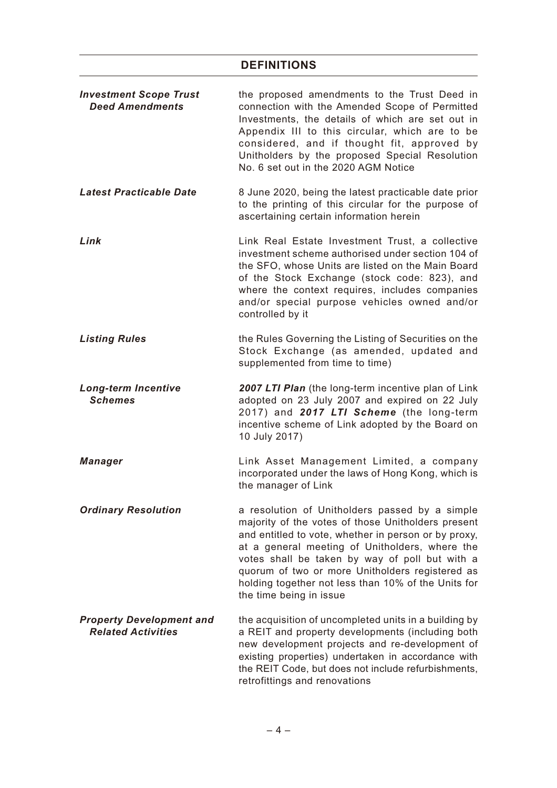## **DEFINITIONS**

| <b>Investment Scope Trust</b><br><b>Deed Amendments</b>      | the proposed amendments to the Trust Deed in<br>connection with the Amended Scope of Permitted<br>Investments, the details of which are set out in<br>Appendix III to this circular, which are to be<br>considered, and if thought fit, approved by<br>Unitholders by the proposed Special Resolution<br>No. 6 set out in the 2020 AGM Notice                                                         |
|--------------------------------------------------------------|-------------------------------------------------------------------------------------------------------------------------------------------------------------------------------------------------------------------------------------------------------------------------------------------------------------------------------------------------------------------------------------------------------|
| Latest Practicable Date                                      | 8 June 2020, being the latest practicable date prior<br>to the printing of this circular for the purpose of<br>ascertaining certain information herein                                                                                                                                                                                                                                                |
| Link                                                         | Link Real Estate Investment Trust, a collective<br>investment scheme authorised under section 104 of<br>the SFO, whose Units are listed on the Main Board<br>of the Stock Exchange (stock code: 823), and<br>where the context requires, includes companies<br>and/or special purpose vehicles owned and/or<br>controlled by it                                                                       |
| <b>Listing Rules</b>                                         | the Rules Governing the Listing of Securities on the<br>Stock Exchange (as amended, updated and<br>supplemented from time to time)                                                                                                                                                                                                                                                                    |
| <b>Long-term Incentive</b><br><b>Schemes</b>                 | 2007 LTI Plan (the long-term incentive plan of Link<br>adopted on 23 July 2007 and expired on 22 July<br>2017) and 2017 LTI Scheme (the long-term<br>incentive scheme of Link adopted by the Board on<br>10 July 2017)                                                                                                                                                                                |
| <b>Manager</b>                                               | Link Asset Management Limited, a company<br>incorporated under the laws of Hong Kong, which is<br>the manager of Link                                                                                                                                                                                                                                                                                 |
| <b>Ordinary Resolution</b>                                   | a resolution of Unitholders passed by a simple<br>majority of the votes of those Unitholders present<br>and entitled to vote, whether in person or by proxy,<br>at a general meeting of Unitholders, where the<br>votes shall be taken by way of poll but with a<br>quorum of two or more Unitholders registered as<br>holding together not less than 10% of the Units for<br>the time being in issue |
| <b>Property Development and</b><br><b>Related Activities</b> | the acquisition of uncompleted units in a building by<br>a REIT and property developments (including both<br>new development projects and re-development of<br>existing properties) undertaken in accordance with<br>the REIT Code, but does not include refurbishments,<br>retrofittings and renovations                                                                                             |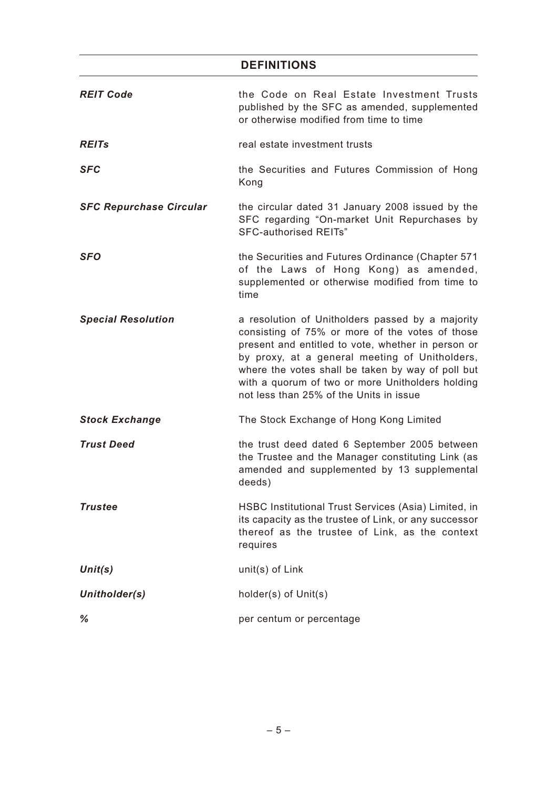## **DEFINITIONS**

| <b>REIT Code</b>               | the Code on Real Estate Investment Trusts<br>published by the SFC as amended, supplemented<br>or otherwise modified from time to time                                                                                                                                                                                                                           |
|--------------------------------|-----------------------------------------------------------------------------------------------------------------------------------------------------------------------------------------------------------------------------------------------------------------------------------------------------------------------------------------------------------------|
| <b>REITs</b>                   | real estate investment trusts                                                                                                                                                                                                                                                                                                                                   |
| <b>SFC</b>                     | the Securities and Futures Commission of Hong<br>Kong                                                                                                                                                                                                                                                                                                           |
| <b>SFC Repurchase Circular</b> | the circular dated 31 January 2008 issued by the<br>SFC regarding "On-market Unit Repurchases by<br><b>SFC-authorised REITs"</b>                                                                                                                                                                                                                                |
| <b>SFO</b>                     | the Securities and Futures Ordinance (Chapter 571<br>of the Laws of Hong Kong) as amended,<br>supplemented or otherwise modified from time to<br>time                                                                                                                                                                                                           |
| <b>Special Resolution</b>      | a resolution of Unitholders passed by a majority<br>consisting of 75% or more of the votes of those<br>present and entitled to vote, whether in person or<br>by proxy, at a general meeting of Unitholders,<br>where the votes shall be taken by way of poll but<br>with a quorum of two or more Unitholders holding<br>not less than 25% of the Units in issue |
| <b>Stock Exchange</b>          | The Stock Exchange of Hong Kong Limited                                                                                                                                                                                                                                                                                                                         |
| <b>Trust Deed</b>              | the trust deed dated 6 September 2005 between<br>the Trustee and the Manager constituting Link (as<br>amended and supplemented by 13 supplemental<br>deeds)                                                                                                                                                                                                     |
| Trustee                        | HSBC Institutional Trust Services (Asia) Limited, in<br>its capacity as the trustee of Link, or any successor<br>thereof as the trustee of Link, as the context<br>requires                                                                                                                                                                                     |
| Unit(s)                        | unit(s) of Link                                                                                                                                                                                                                                                                                                                                                 |
| Unitholder(s)                  | holder(s) of Unit(s)                                                                                                                                                                                                                                                                                                                                            |
| %                              | per centum or percentage                                                                                                                                                                                                                                                                                                                                        |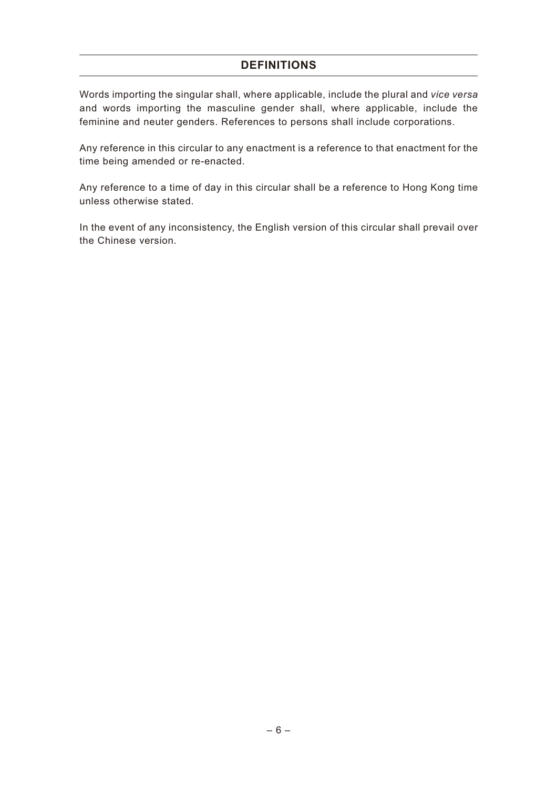## **DEFINITIONS**

Words importing the singular shall, where applicable, include the plural and *vice versa* and words importing the masculine gender shall, where applicable, include the feminine and neuter genders. References to persons shall include corporations.

Any reference in this circular to any enactment is a reference to that enactment for the time being amended or re-enacted.

Any reference to a time of day in this circular shall be a reference to Hong Kong time unless otherwise stated.

In the event of any inconsistency, the English version of this circular shall prevail over the Chinese version.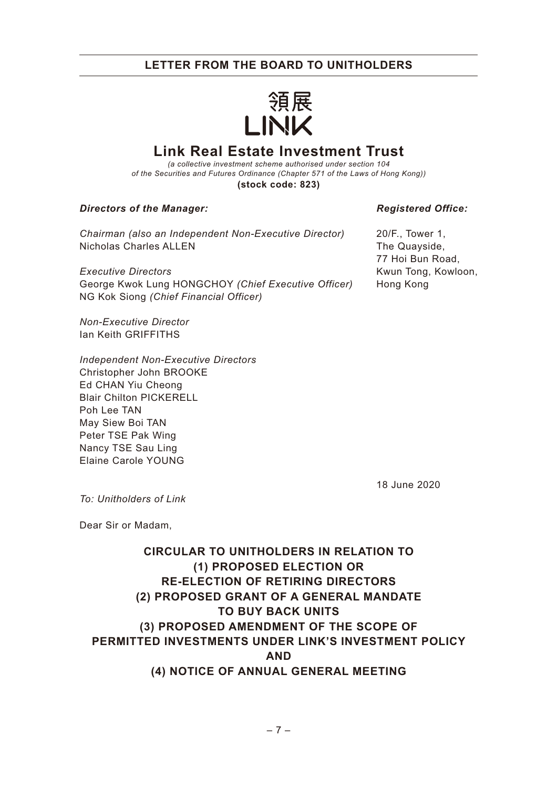

# **Link Real Estate Investment Trust**

*(a collective investment scheme authorised under section 104 of the Securities and Futures Ordinance (Chapter 571 of the Laws of Hong Kong))* **(stock code: 823)**

#### *Directors of the Manager:*

*Chairman (also an Independent Non-Executive Director)* Nicholas Charles ALLEN

*Executive Directors* George Kwok Lung HONGCHOY *(Chief Executive Officer)* NG Kok Siong *(Chief Financial Officer)*

*Non-Executive Director* Ian Keith GRIFFITHS

*Independent Non-Executive Directors* Christopher John BROOKE Ed CHAN Yiu Cheong Blair Chilton PICKERELL Poh Lee TAN May Siew Boi TAN Peter TSE Pak Wing Nancy TSE Sau Ling Elaine Carole YOUNG

#### *Registered Office:*

20/F., Tower 1, The Quayside, 77 Hoi Bun Road, Kwun Tong, Kowloon, Hong Kong

18 June 2020

*To: Unitholders of Link*

Dear Sir or Madam,

# **CIRCULAR TO UNITHOLDERS IN RELATION TO (1) PROPOSED ELECTION OR RE-ELECTION OF RETIRING DIRECTORS (2) PROPOSED GRANT OF A GENERAL MANDATE TO BUY BACK UNITS (3) PROPOSED AMENDMENT OF THE SCOPE OF PERMITTED INVESTMENTS UNDER LINK'S INVESTMENT POLICY AND (4) NOTICE OF ANNUAL GENERAL MEETING**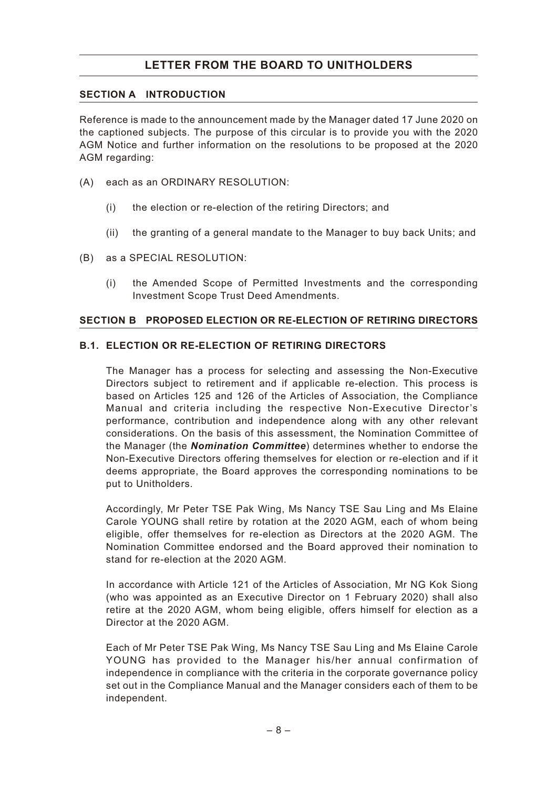## **SECTION A INTRODUCTION**

Reference is made to the announcement made by the Manager dated 17 June 2020 on the captioned subjects. The purpose of this circular is to provide you with the 2020 AGM Notice and further information on the resolutions to be proposed at the 2020 AGM regarding:

- (A) each as an ORDINARY RESOLUTION:
	- (i) the election or re-election of the retiring Directors; and
	- (ii) the granting of a general mandate to the Manager to buy back Units; and
- (B) as a SPECIAL RESOLUTION:
	- (i) the Amended Scope of Permitted Investments and the corresponding Investment Scope Trust Deed Amendments.

### **SECTION B PROPOSED ELECTION OR RE-ELECTION OF RETIRING DIRECTORS**

### **B.1. ELECTION OR RE-ELECTION OF RETIRING DIRECTORS**

The Manager has a process for selecting and assessing the Non-Executive Directors subject to retirement and if applicable re-election. This process is based on Articles 125 and 126 of the Articles of Association, the Compliance Manual and criteria including the respective Non-Executive Director's performance, contribution and independence along with any other relevant considerations. On the basis of this assessment, the Nomination Committee of the Manager (the *Nomination Committee*) determines whether to endorse the Non-Executive Directors offering themselves for election or re-election and if it deems appropriate, the Board approves the corresponding nominations to be put to Unitholders.

Accordingly, Mr Peter TSE Pak Wing, Ms Nancy TSE Sau Ling and Ms Elaine Carole YOUNG shall retire by rotation at the 2020 AGM, each of whom being eligible, offer themselves for re-election as Directors at the 2020 AGM. The Nomination Committee endorsed and the Board approved their nomination to stand for re-election at the 2020 AGM.

In accordance with Article 121 of the Articles of Association, Mr NG Kok Siong (who was appointed as an Executive Director on 1 February 2020) shall also retire at the 2020 AGM, whom being eligible, offers himself for election as a Director at the 2020 AGM.

Each of Mr Peter TSE Pak Wing, Ms Nancy TSE Sau Ling and Ms Elaine Carole YOUNG has provided to the Manager his/her annual confirmation of independence in compliance with the criteria in the corporate governance policy set out in the Compliance Manual and the Manager considers each of them to be independent.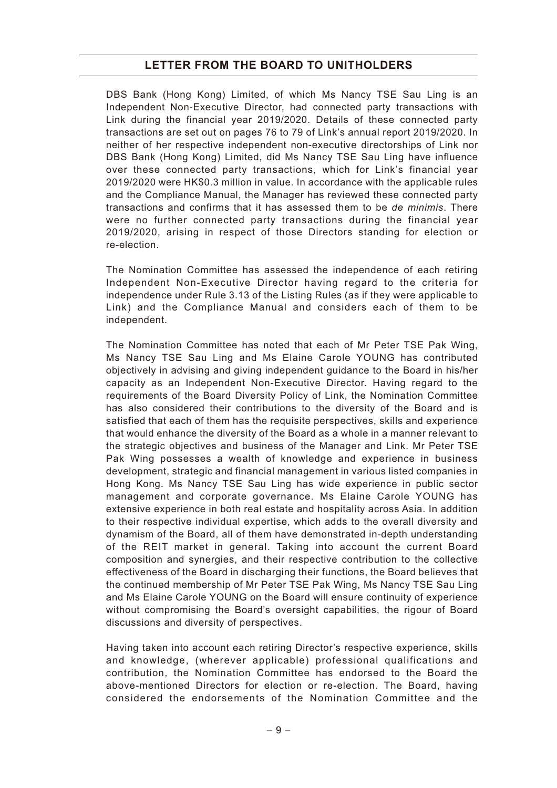DBS Bank (Hong Kong) Limited, of which Ms Nancy TSE Sau Ling is an Independent Non-Executive Director, had connected party transactions with Link during the financial year 2019/2020. Details of these connected party transactions are set out on pages 76 to 79 of Link's annual report 2019/2020. In neither of her respective independent non-executive directorships of Link nor DBS Bank (Hong Kong) Limited, did Ms Nancy TSE Sau Ling have influence over these connected party transactions, which for Link's financial year 2019/2020 were HK\$0.3 million in value. In accordance with the applicable rules and the Compliance Manual, the Manager has reviewed these connected party transactions and confirms that it has assessed them to be *de minimis*. There were no further connected party transactions during the financial year 2019/2020, arising in respect of those Directors standing for election or re-election.

The Nomination Committee has assessed the independence of each retiring Independent Non-Executive Director having regard to the criteria for independence under Rule 3.13 of the Listing Rules (as if they were applicable to Link) and the Compliance Manual and considers each of them to be independent.

The Nomination Committee has noted that each of Mr Peter TSE Pak Wing, Ms Nancy TSE Sau Ling and Ms Elaine Carole YOUNG has contributed objectively in advising and giving independent guidance to the Board in his/her capacity as an Independent Non-Executive Director. Having regard to the requirements of the Board Diversity Policy of Link, the Nomination Committee has also considered their contributions to the diversity of the Board and is satisfied that each of them has the requisite perspectives, skills and experience that would enhance the diversity of the Board as a whole in a manner relevant to the strategic objectives and business of the Manager and Link. Mr Peter TSE Pak Wing possesses a wealth of knowledge and experience in business development, strategic and financial management in various listed companies in Hong Kong. Ms Nancy TSE Sau Ling has wide experience in public sector management and corporate governance. Ms Elaine Carole YOUNG has extensive experience in both real estate and hospitality across Asia. In addition to their respective individual expertise, which adds to the overall diversity and dynamism of the Board, all of them have demonstrated in-depth understanding of the REIT market in general. Taking into account the current Board composition and synergies, and their respective contribution to the collective effectiveness of the Board in discharging their functions, the Board believes that the continued membership of Mr Peter TSE Pak Wing, Ms Nancy TSE Sau Ling and Ms Elaine Carole YOUNG on the Board will ensure continuity of experience without compromising the Board's oversight capabilities, the rigour of Board discussions and diversity of perspectives.

Having taken into account each retiring Director's respective experience, skills and knowledge, (wherever applicable) professional qualifications and contribution, the Nomination Committee has endorsed to the Board the above-mentioned Directors for election or re-election. The Board, having considered the endorsements of the Nomination Committee and the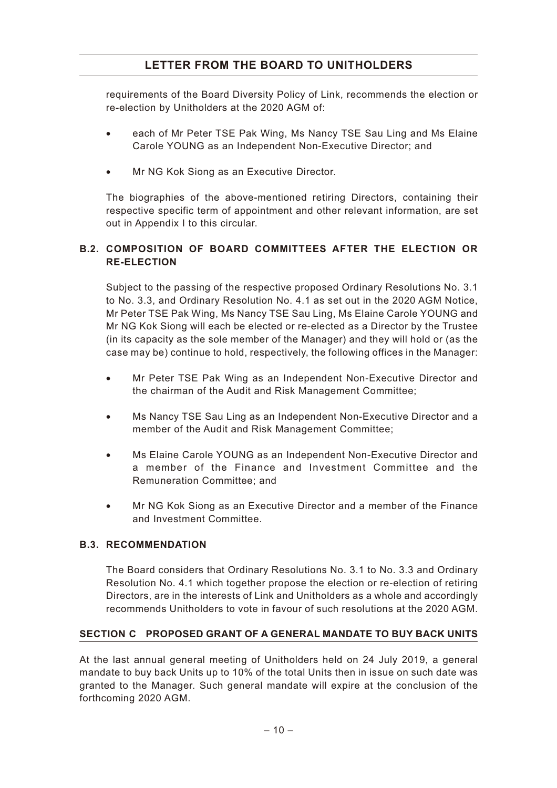requirements of the Board Diversity Policy of Link, recommends the election or re-election by Unitholders at the 2020 AGM of:

- each of Mr Peter TSE Pak Wing, Ms Nancy TSE Sau Ling and Ms Elaine Carole YOUNG as an Independent Non-Executive Director; and
- Mr NG Kok Siong as an Executive Director.

The biographies of the above-mentioned retiring Directors, containing their respective specific term of appointment and other relevant information, are set out in Appendix I to this circular.

## **B.2. COMPOSITION OF BOARD COMMITTEES AFTER THE ELECTION OR RE-ELECTION**

Subject to the passing of the respective proposed Ordinary Resolutions No. 3.1 to No. 3.3, and Ordinary Resolution No. 4.1 as set out in the 2020 AGM Notice, Mr Peter TSE Pak Wing, Ms Nancy TSE Sau Ling, Ms Elaine Carole YOUNG and Mr NG Kok Siong will each be elected or re-elected as a Director by the Trustee (in its capacity as the sole member of the Manager) and they will hold or (as the case may be) continue to hold, respectively, the following offices in the Manager:

- Mr Peter TSE Pak Wing as an Independent Non-Executive Director and the chairman of the Audit and Risk Management Committee;
- Ms Nancy TSE Sau Ling as an Independent Non-Executive Director and a member of the Audit and Risk Management Committee;
- Ms Elaine Carole YOUNG as an Independent Non-Executive Director and a member of the Finance and Investment Committee and the Remuneration Committee; and
- Mr NG Kok Siong as an Executive Director and a member of the Finance and Investment Committee.

## **B.3. RECOMMENDATION**

The Board considers that Ordinary Resolutions No. 3.1 to No. 3.3 and Ordinary Resolution No. 4.1 which together propose the election or re-election of retiring Directors, are in the interests of Link and Unitholders as a whole and accordingly recommends Unitholders to vote in favour of such resolutions at the 2020 AGM.

## **SECTION C PROPOSED GRANT OF A GENERAL MANDATE TO BUY BACK UNITS**

At the last annual general meeting of Unitholders held on 24 July 2019, a general mandate to buy back Units up to 10% of the total Units then in issue on such date was granted to the Manager. Such general mandate will expire at the conclusion of the forthcoming 2020 AGM.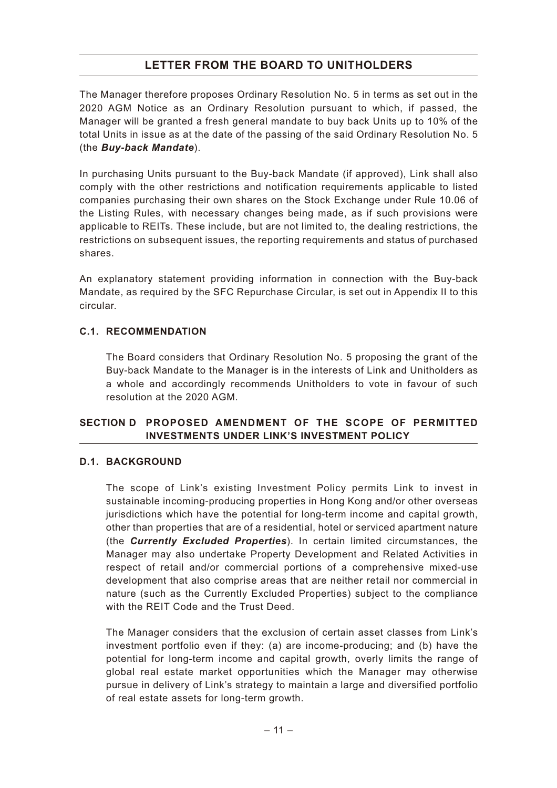The Manager therefore proposes Ordinary Resolution No. 5 in terms as set out in the 2020 AGM Notice as an Ordinary Resolution pursuant to which, if passed, the Manager will be granted a fresh general mandate to buy back Units up to 10% of the total Units in issue as at the date of the passing of the said Ordinary Resolution No. 5 (the *Buy-back Mandate*).

In purchasing Units pursuant to the Buy-back Mandate (if approved), Link shall also comply with the other restrictions and notification requirements applicable to listed companies purchasing their own shares on the Stock Exchange under Rule 10.06 of the Listing Rules, with necessary changes being made, as if such provisions were applicable to REITs. These include, but are not limited to, the dealing restrictions, the restrictions on subsequent issues, the reporting requirements and status of purchased shares.

An explanatory statement providing information in connection with the Buy-back Mandate, as required by the SFC Repurchase Circular, is set out in Appendix II to this circular.

## **C.1. RECOMMENDATION**

The Board considers that Ordinary Resolution No. 5 proposing the grant of the Buy-back Mandate to the Manager is in the interests of Link and Unitholders as a whole and accordingly recommends Unitholders to vote in favour of such resolution at the 2020 AGM.

## **SECTION D PROPOSED AMENDMENT OF THE SCOPE OF PERMITTED INVESTMENTS UNDER LINK'S INVESTMENT POLICY**

## **D.1. BACKGROUND**

The scope of Link's existing Investment Policy permits Link to invest in sustainable incoming-producing properties in Hong Kong and/or other overseas jurisdictions which have the potential for long-term income and capital growth, other than properties that are of a residential, hotel or serviced apartment nature (the *Currently Excluded Properties*). In certain limited circumstances, the Manager may also undertake Property Development and Related Activities in respect of retail and/or commercial portions of a comprehensive mixed-use development that also comprise areas that are neither retail nor commercial in nature (such as the Currently Excluded Properties) subject to the compliance with the REIT Code and the Trust Deed.

The Manager considers that the exclusion of certain asset classes from Link's investment portfolio even if they: (a) are income-producing; and (b) have the potential for long-term income and capital growth, overly limits the range of global real estate market opportunities which the Manager may otherwise pursue in delivery of Link's strategy to maintain a large and diversified portfolio of real estate assets for long-term growth.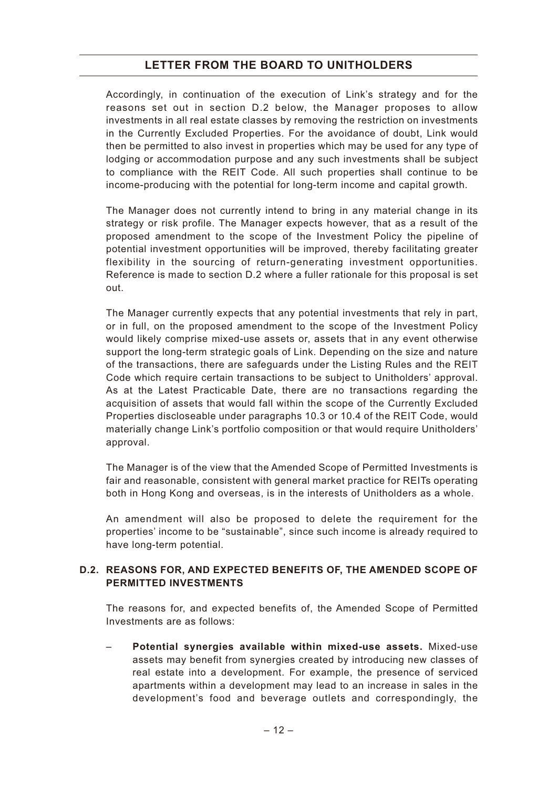Accordingly, in continuation of the execution of Link's strategy and for the reasons set out in section D.2 below, the Manager proposes to allow investments in all real estate classes by removing the restriction on investments in the Currently Excluded Properties. For the avoidance of doubt, Link would then be permitted to also invest in properties which may be used for any type of lodging or accommodation purpose and any such investments shall be subject to compliance with the REIT Code. All such properties shall continue to be income-producing with the potential for long-term income and capital growth.

The Manager does not currently intend to bring in any material change in its strategy or risk profile. The Manager expects however, that as a result of the proposed amendment to the scope of the Investment Policy the pipeline of potential investment opportunities will be improved, thereby facilitating greater flexibility in the sourcing of return-generating investment opportunities. Reference is made to section D.2 where a fuller rationale for this proposal is set out.

The Manager currently expects that any potential investments that rely in part, or in full, on the proposed amendment to the scope of the Investment Policy would likely comprise mixed-use assets or, assets that in any event otherwise support the long-term strategic goals of Link. Depending on the size and nature of the transactions, there are safeguards under the Listing Rules and the REIT Code which require certain transactions to be subject to Unitholders' approval. As at the Latest Practicable Date, there are no transactions regarding the acquisition of assets that would fall within the scope of the Currently Excluded Properties discloseable under paragraphs 10.3 or 10.4 of the REIT Code, would materially change Link's portfolio composition or that would require Unitholders' approval.

The Manager is of the view that the Amended Scope of Permitted Investments is fair and reasonable, consistent with general market practice for REITs operating both in Hong Kong and overseas, is in the interests of Unitholders as a whole.

An amendment will also be proposed to delete the requirement for the properties' income to be "sustainable", since such income is already required to have long-term potential.

## **D.2. REASONS FOR, AND EXPECTED BENEFITS OF, THE AMENDED SCOPE OF PERMITTED INVESTMENTS**

The reasons for, and expected benefits of, the Amended Scope of Permitted Investments are as follows:

– **Potential synergies available within mixed-use assets.** Mixed-use assets may benefit from synergies created by introducing new classes of real estate into a development. For example, the presence of serviced apartments within a development may lead to an increase in sales in the development's food and beverage outlets and correspondingly, the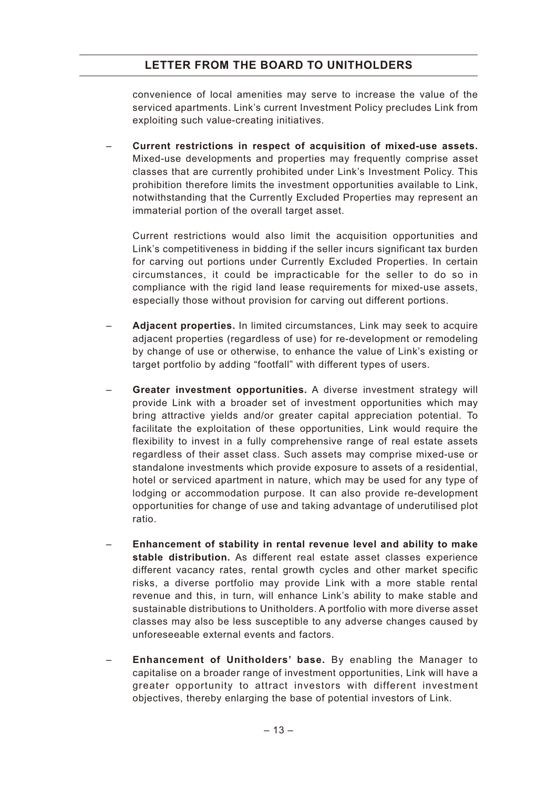convenience of local amenities may serve to increase the value of the serviced apartments. Link's current Investment Policy precludes Link from exploiting such value-creating initiatives.

– **Current restrictions in respect of acquisition of mixed-use assets.** Mixed-use developments and properties may frequently comprise asset classes that are currently prohibited under Link's Investment Policy. This prohibition therefore limits the investment opportunities available to Link, notwithstanding that the Currently Excluded Properties may represent an immaterial portion of the overall target asset.

Current restrictions would also limit the acquisition opportunities and Link's competitiveness in bidding if the seller incurs significant tax burden for carving out portions under Currently Excluded Properties. In certain circumstances, it could be impracticable for the seller to do so in compliance with the rigid land lease requirements for mixed-use assets, especially those without provision for carving out different portions.

- **Adjacent properties.** In limited circumstances, Link may seek to acquire adjacent properties (regardless of use) for re-development or remodeling by change of use or otherwise, to enhance the value of Link's existing or target portfolio by adding "footfall" with different types of users.
- **Greater investment opportunities.** A diverse investment strategy will provide Link with a broader set of investment opportunities which may bring attractive yields and/or greater capital appreciation potential. To facilitate the exploitation of these opportunities, Link would require the flexibility to invest in a fully comprehensive range of real estate assets regardless of their asset class. Such assets may comprise mixed-use or standalone investments which provide exposure to assets of a residential, hotel or serviced apartment in nature, which may be used for any type of lodging or accommodation purpose. It can also provide re-development opportunities for change of use and taking advantage of underutilised plot ratio.
- **Enhancement of stability in rental revenue level and ability to make stable distribution.** As different real estate asset classes experience different vacancy rates, rental growth cycles and other market specific risks, a diverse portfolio may provide Link with a more stable rental revenue and this, in turn, will enhance Link's ability to make stable and sustainable distributions to Unitholders. A portfolio with more diverse asset classes may also be less susceptible to any adverse changes caused by unforeseeable external events and factors.
- **Enhancement of Unitholders' base.** By enabling the Manager to capitalise on a broader range of investment opportunities, Link will have a greater opportunity to attract investors with different investment objectives, thereby enlarging the base of potential investors of Link.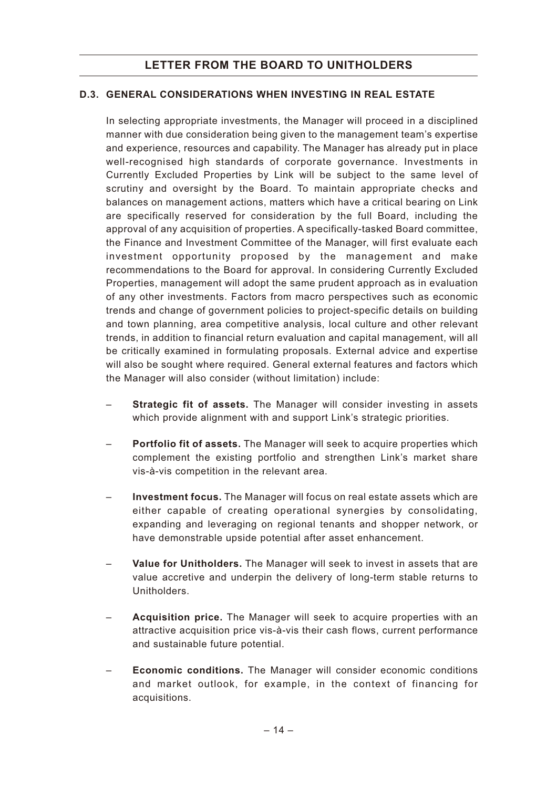## **D.3. GENERAL CONSIDERATIONS WHEN INVESTING IN REAL ESTATE**

In selecting appropriate investments, the Manager will proceed in a disciplined manner with due consideration being given to the management team's expertise and experience, resources and capability. The Manager has already put in place well-recognised high standards of corporate governance. Investments in Currently Excluded Properties by Link will be subject to the same level of scrutiny and oversight by the Board. To maintain appropriate checks and balances on management actions, matters which have a critical bearing on Link are specifically reserved for consideration by the full Board, including the approval of any acquisition of properties. A specifically-tasked Board committee, the Finance and Investment Committee of the Manager, will first evaluate each investment opportunity proposed by the management and make recommendations to the Board for approval. In considering Currently Excluded Properties, management will adopt the same prudent approach as in evaluation of any other investments. Factors from macro perspectives such as economic trends and change of government policies to project-specific details on building and town planning, area competitive analysis, local culture and other relevant trends, in addition to financial return evaluation and capital management, will all be critically examined in formulating proposals. External advice and expertise will also be sought where required. General external features and factors which the Manager will also consider (without limitation) include:

- **Strategic fit of assets.** The Manager will consider investing in assets which provide alignment with and support Link's strategic priorities.
- **Portfolio fit of assets.** The Manager will seek to acquire properties which complement the existing portfolio and strengthen Link's market share vis-à-vis competition in the relevant area.
- **Investment focus.** The Manager will focus on real estate assets which are either capable of creating operational synergies by consolidating, expanding and leveraging on regional tenants and shopper network, or have demonstrable upside potential after asset enhancement.
- **Value for Unitholders.** The Manager will seek to invest in assets that are value accretive and underpin the delivery of long-term stable returns to Unitholders.
- **Acquisition price.** The Manager will seek to acquire properties with an attractive acquisition price vis-à-vis their cash flows, current performance and sustainable future potential.
- **Economic conditions.** The Manager will consider economic conditions and market outlook, for example, in the context of financing for acquisitions.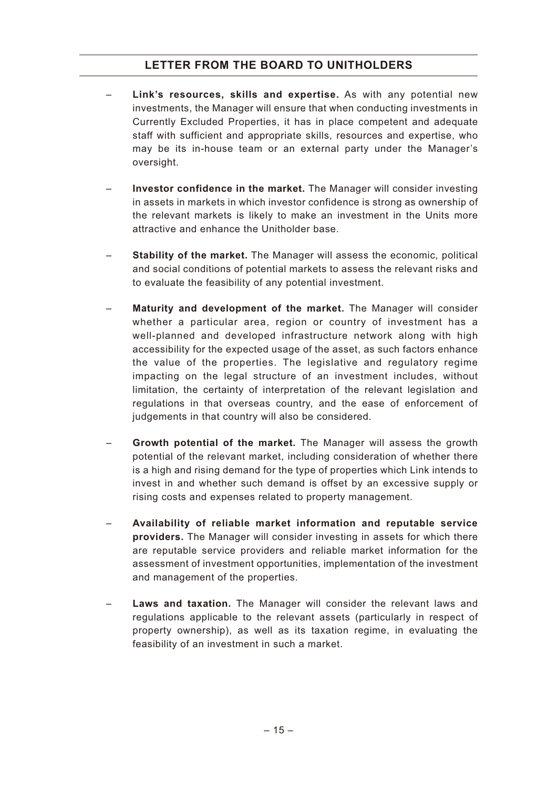- **Link's resources, skills and expertise.** As with any potential new investments, the Manager will ensure that when conducting investments in Currently Excluded Properties, it has in place competent and adequate staff with sufficient and appropriate skills, resources and expertise, who may be its in-house team or an external party under the Manager's oversight.
- **Investor confidence in the market.** The Manager will consider investing in assets in markets in which investor confidence is strong as ownership of the relevant markets is likely to make an investment in the Units more attractive and enhance the Unitholder base.
- **Stability of the market.** The Manager will assess the economic, political and social conditions of potential markets to assess the relevant risks and to evaluate the feasibility of any potential investment.
- **Maturity and development of the market.** The Manager will consider whether a particular area, region or country of investment has a well-planned and developed infrastructure network along with high accessibility for the expected usage of the asset, as such factors enhance the value of the properties. The legislative and regulatory regime impacting on the legal structure of an investment includes, without limitation, the certainty of interpretation of the relevant legislation and regulations in that overseas country, and the ease of enforcement of judgements in that country will also be considered.
- **Growth potential of the market.** The Manager will assess the growth potential of the relevant market, including consideration of whether there is a high and rising demand for the type of properties which Link intends to invest in and whether such demand is offset by an excessive supply or rising costs and expenses related to property management.
- **Availability of reliable market information and reputable service providers.** The Manager will consider investing in assets for which there are reputable service providers and reliable market information for the assessment of investment opportunities, implementation of the investment and management of the properties.
- Laws and taxation. The Manager will consider the relevant laws and regulations applicable to the relevant assets (particularly in respect of property ownership), as well as its taxation regime, in evaluating the feasibility of an investment in such a market.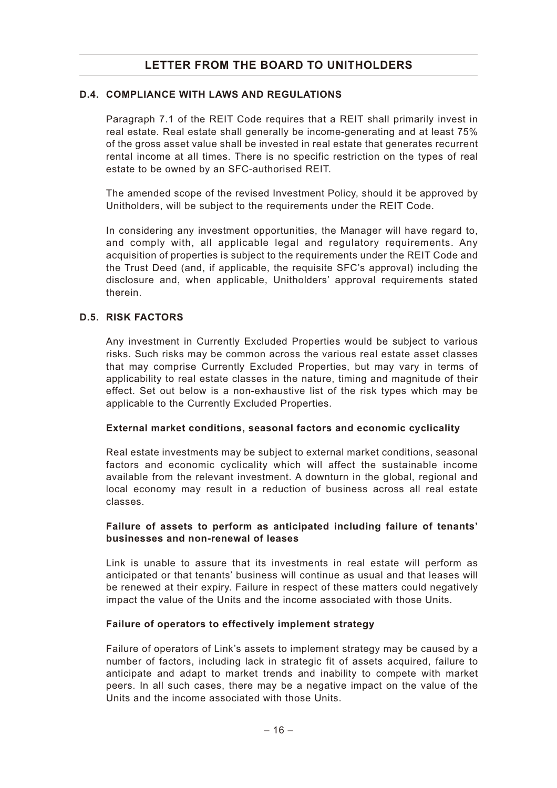### **D.4. COMPLIANCE WITH LAWS AND REGULATIONS**

Paragraph 7.1 of the REIT Code requires that a REIT shall primarily invest in real estate. Real estate shall generally be income-generating and at least 75% of the gross asset value shall be invested in real estate that generates recurrent rental income at all times. There is no specific restriction on the types of real estate to be owned by an SFC-authorised REIT.

The amended scope of the revised Investment Policy, should it be approved by Unitholders, will be subject to the requirements under the REIT Code.

In considering any investment opportunities, the Manager will have regard to, and comply with, all applicable legal and regulatory requirements. Any acquisition of properties is subject to the requirements under the REIT Code and the Trust Deed (and, if applicable, the requisite SFC's approval) including the disclosure and, when applicable, Unitholders' approval requirements stated therein.

#### **D.5. RISK FACTORS**

Any investment in Currently Excluded Properties would be subject to various risks. Such risks may be common across the various real estate asset classes that may comprise Currently Excluded Properties, but may vary in terms of applicability to real estate classes in the nature, timing and magnitude of their effect. Set out below is a non-exhaustive list of the risk types which may be applicable to the Currently Excluded Properties.

#### **External market conditions, seasonal factors and economic cyclicality**

Real estate investments may be subject to external market conditions, seasonal factors and economic cyclicality which will affect the sustainable income available from the relevant investment. A downturn in the global, regional and local economy may result in a reduction of business across all real estate classes.

### **Failure of assets to perform as anticipated including failure of tenants' businesses and non-renewal of leases**

Link is unable to assure that its investments in real estate will perform as anticipated or that tenants' business will continue as usual and that leases will be renewed at their expiry. Failure in respect of these matters could negatively impact the value of the Units and the income associated with those Units.

#### **Failure of operators to effectively implement strategy**

Failure of operators of Link's assets to implement strategy may be caused by a number of factors, including lack in strategic fit of assets acquired, failure to anticipate and adapt to market trends and inability to compete with market peers. In all such cases, there may be a negative impact on the value of the Units and the income associated with those Units.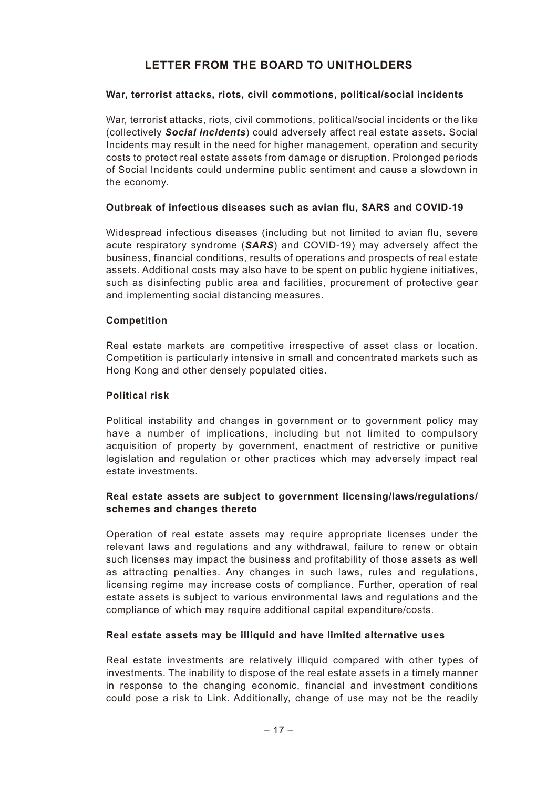### **War, terrorist attacks, riots, civil commotions, political/social incidents**

War, terrorist attacks, riots, civil commotions, political/social incidents or the like (collectively *Social Incidents*) could adversely affect real estate assets. Social Incidents may result in the need for higher management, operation and security costs to protect real estate assets from damage or disruption. Prolonged periods of Social Incidents could undermine public sentiment and cause a slowdown in the economy.

### **Outbreak of infectious diseases such as avian flu, SARS and COVID-19**

Widespread infectious diseases (including but not limited to avian flu, severe acute respiratory syndrome (*SARS*) and COVID-19) may adversely affect the business, financial conditions, results of operations and prospects of real estate assets. Additional costs may also have to be spent on public hygiene initiatives, such as disinfecting public area and facilities, procurement of protective gear and implementing social distancing measures.

### **Competition**

Real estate markets are competitive irrespective of asset class or location. Competition is particularly intensive in small and concentrated markets such as Hong Kong and other densely populated cities.

#### **Political risk**

Political instability and changes in government or to government policy may have a number of implications, including but not limited to compulsory acquisition of property by government, enactment of restrictive or punitive legislation and regulation or other practices which may adversely impact real estate investments.

## **Real estate assets are subject to government licensing/laws/regulations/ schemes and changes thereto**

Operation of real estate assets may require appropriate licenses under the relevant laws and regulations and any withdrawal, failure to renew or obtain such licenses may impact the business and profitability of those assets as well as attracting penalties. Any changes in such laws, rules and regulations, licensing regime may increase costs of compliance. Further, operation of real estate assets is subject to various environmental laws and regulations and the compliance of which may require additional capital expenditure/costs.

#### **Real estate assets may be illiquid and have limited alternative uses**

Real estate investments are relatively illiquid compared with other types of investments. The inability to dispose of the real estate assets in a timely manner in response to the changing economic, financial and investment conditions could pose a risk to Link. Additionally, change of use may not be the readily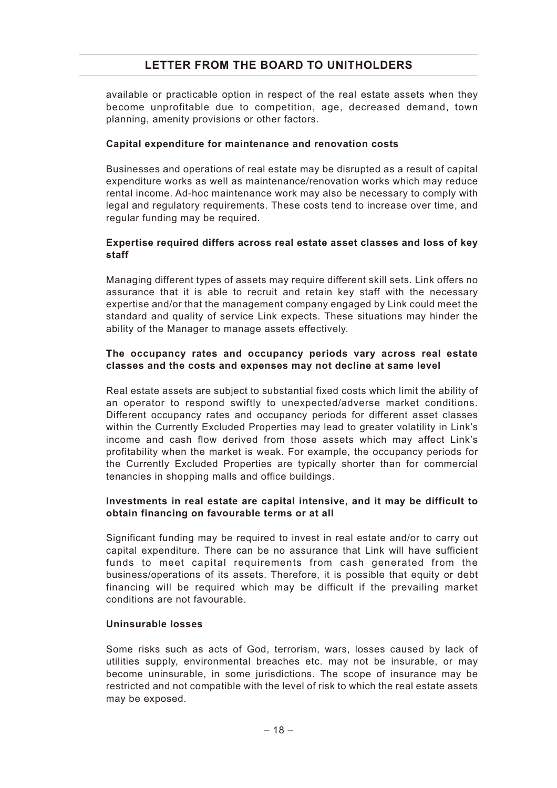available or practicable option in respect of the real estate assets when they become unprofitable due to competition, age, decreased demand, town planning, amenity provisions or other factors.

#### **Capital expenditure for maintenance and renovation costs**

Businesses and operations of real estate may be disrupted as a result of capital expenditure works as well as maintenance/renovation works which may reduce rental income. Ad-hoc maintenance work may also be necessary to comply with legal and regulatory requirements. These costs tend to increase over time, and regular funding may be required.

### **Expertise required differs across real estate asset classes and loss of key staff**

Managing different types of assets may require different skill sets. Link offers no assurance that it is able to recruit and retain key staff with the necessary expertise and/or that the management company engaged by Link could meet the standard and quality of service Link expects. These situations may hinder the ability of the Manager to manage assets effectively.

### **The occupancy rates and occupancy periods vary across real estate classes and the costs and expenses may not decline at same level**

Real estate assets are subject to substantial fixed costs which limit the ability of an operator to respond swiftly to unexpected/adverse market conditions. Different occupancy rates and occupancy periods for different asset classes within the Currently Excluded Properties may lead to greater volatility in Link's income and cash flow derived from those assets which may affect Link's profitability when the market is weak. For example, the occupancy periods for the Currently Excluded Properties are typically shorter than for commercial tenancies in shopping malls and office buildings.

### **Investments in real estate are capital intensive, and it may be difficult to obtain financing on favourable terms or at all**

Significant funding may be required to invest in real estate and/or to carry out capital expenditure. There can be no assurance that Link will have sufficient funds to meet capital requirements from cash generated from the business/operations of its assets. Therefore, it is possible that equity or debt financing will be required which may be difficult if the prevailing market conditions are not favourable.

#### **Uninsurable losses**

Some risks such as acts of God, terrorism, wars, losses caused by lack of utilities supply, environmental breaches etc. may not be insurable, or may become uninsurable, in some jurisdictions. The scope of insurance may be restricted and not compatible with the level of risk to which the real estate assets may be exposed.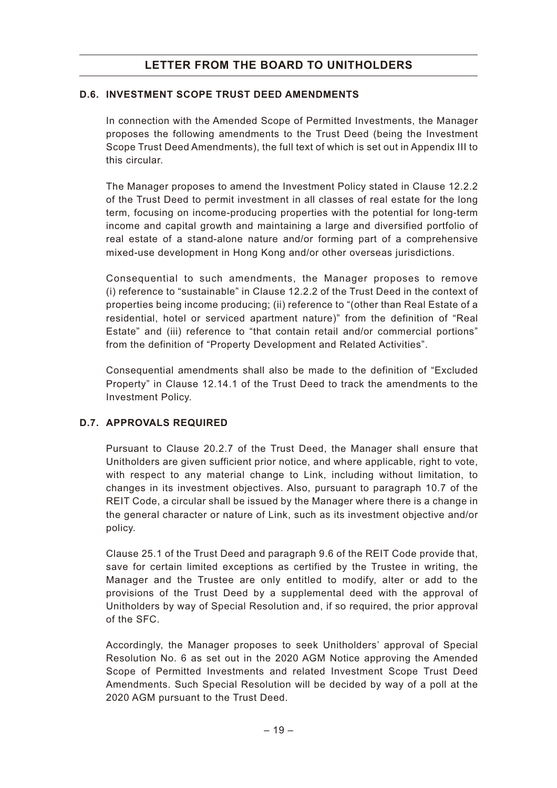## **D.6. INVESTMENT SCOPE TRUST DEED AMENDMENTS**

In connection with the Amended Scope of Permitted Investments, the Manager proposes the following amendments to the Trust Deed (being the Investment Scope Trust Deed Amendments), the full text of which is set out in Appendix III to this circular.

The Manager proposes to amend the Investment Policy stated in Clause 12.2.2 of the Trust Deed to permit investment in all classes of real estate for the long term, focusing on income-producing properties with the potential for long-term income and capital growth and maintaining a large and diversified portfolio of real estate of a stand-alone nature and/or forming part of a comprehensive mixed-use development in Hong Kong and/or other overseas jurisdictions.

Consequential to such amendments, the Manager proposes to remove (i) reference to "sustainable" in Clause 12.2.2 of the Trust Deed in the context of properties being income producing; (ii) reference to "(other than Real Estate of a residential, hotel or serviced apartment nature)" from the definition of "Real Estate" and (iii) reference to "that contain retail and/or commercial portions" from the definition of "Property Development and Related Activities".

Consequential amendments shall also be made to the definition of "Excluded Property" in Clause 12.14.1 of the Trust Deed to track the amendments to the Investment Policy.

## **D.7. APPROVALS REQUIRED**

Pursuant to Clause 20.2.7 of the Trust Deed, the Manager shall ensure that Unitholders are given sufficient prior notice, and where applicable, right to vote, with respect to any material change to Link, including without limitation, to changes in its investment objectives. Also, pursuant to paragraph 10.7 of the REIT Code, a circular shall be issued by the Manager where there is a change in the general character or nature of Link, such as its investment objective and/or policy.

Clause 25.1 of the Trust Deed and paragraph 9.6 of the REIT Code provide that, save for certain limited exceptions as certified by the Trustee in writing, the Manager and the Trustee are only entitled to modify, alter or add to the provisions of the Trust Deed by a supplemental deed with the approval of Unitholders by way of Special Resolution and, if so required, the prior approval of the SFC.

Accordingly, the Manager proposes to seek Unitholders' approval of Special Resolution No. 6 as set out in the 2020 AGM Notice approving the Amended Scope of Permitted Investments and related Investment Scope Trust Deed Amendments. Such Special Resolution will be decided by way of a poll at the 2020 AGM pursuant to the Trust Deed.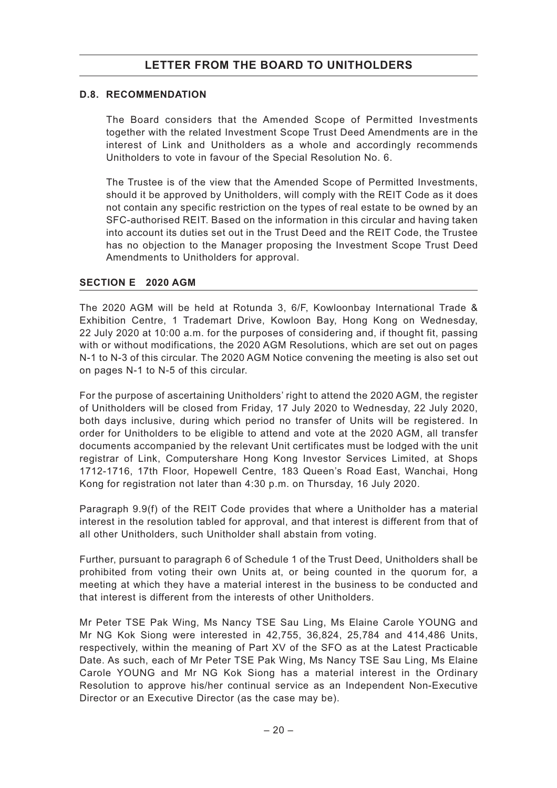## **D.8. RECOMMENDATION**

The Board considers that the Amended Scope of Permitted Investments together with the related Investment Scope Trust Deed Amendments are in the interest of Link and Unitholders as a whole and accordingly recommends Unitholders to vote in favour of the Special Resolution No. 6.

The Trustee is of the view that the Amended Scope of Permitted Investments, should it be approved by Unitholders, will comply with the REIT Code as it does not contain any specific restriction on the types of real estate to be owned by an SFC-authorised REIT. Based on the information in this circular and having taken into account its duties set out in the Trust Deed and the REIT Code, the Trustee has no objection to the Manager proposing the Investment Scope Trust Deed Amendments to Unitholders for approval.

### **SECTION E 2020 AGM**

The 2020 AGM will be held at Rotunda 3, 6/F, Kowloonbay International Trade & Exhibition Centre, 1 Trademart Drive, Kowloon Bay, Hong Kong on Wednesday, 22 July 2020 at 10:00 a.m. for the purposes of considering and, if thought fit, passing with or without modifications, the 2020 AGM Resolutions, which are set out on pages N-1 to N-3 of this circular. The 2020 AGM Notice convening the meeting is also set out on pages N-1 to N-5 of this circular.

For the purpose of ascertaining Unitholders' right to attend the 2020 AGM, the register of Unitholders will be closed from Friday, 17 July 2020 to Wednesday, 22 July 2020, both days inclusive, during which period no transfer of Units will be registered. In order for Unitholders to be eligible to attend and vote at the 2020 AGM, all transfer documents accompanied by the relevant Unit certificates must be lodged with the unit registrar of Link, Computershare Hong Kong Investor Services Limited, at Shops 1712-1716, 17th Floor, Hopewell Centre, 183 Queen's Road East, Wanchai, Hong Kong for registration not later than 4:30 p.m. on Thursday, 16 July 2020.

Paragraph 9.9(f) of the REIT Code provides that where a Unitholder has a material interest in the resolution tabled for approval, and that interest is different from that of all other Unitholders, such Unitholder shall abstain from voting.

Further, pursuant to paragraph 6 of Schedule 1 of the Trust Deed, Unitholders shall be prohibited from voting their own Units at, or being counted in the quorum for, a meeting at which they have a material interest in the business to be conducted and that interest is different from the interests of other Unitholders.

Mr Peter TSE Pak Wing, Ms Nancy TSE Sau Ling, Ms Elaine Carole YOUNG and Mr NG Kok Siong were interested in 42,755, 36,824, 25,784 and 414,486 Units, respectively, within the meaning of Part XV of the SFO as at the Latest Practicable Date. As such, each of Mr Peter TSE Pak Wing, Ms Nancy TSE Sau Ling, Ms Elaine Carole YOUNG and Mr NG Kok Siong has a material interest in the Ordinary Resolution to approve his/her continual service as an Independent Non-Executive Director or an Executive Director (as the case may be).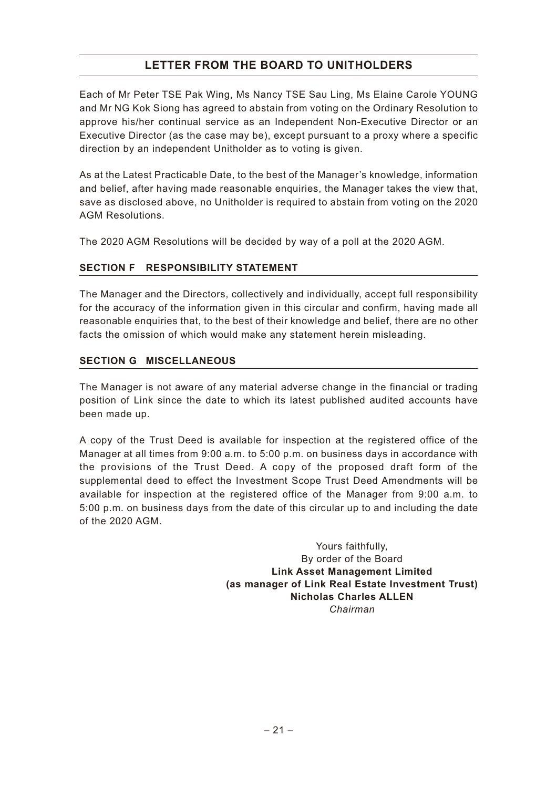Each of Mr Peter TSE Pak Wing, Ms Nancy TSE Sau Ling, Ms Elaine Carole YOUNG and Mr NG Kok Siong has agreed to abstain from voting on the Ordinary Resolution to approve his/her continual service as an Independent Non-Executive Director or an Executive Director (as the case may be), except pursuant to a proxy where a specific direction by an independent Unitholder as to voting is given.

As at the Latest Practicable Date, to the best of the Manager's knowledge, information and belief, after having made reasonable enquiries, the Manager takes the view that, save as disclosed above, no Unitholder is required to abstain from voting on the 2020 AGM Resolutions.

The 2020 AGM Resolutions will be decided by way of a poll at the 2020 AGM.

## **SECTION F RESPONSIBILITY STATEMENT**

The Manager and the Directors, collectively and individually, accept full responsibility for the accuracy of the information given in this circular and confirm, having made all reasonable enquiries that, to the best of their knowledge and belief, there are no other facts the omission of which would make any statement herein misleading.

## **SECTION G MISCELLANEOUS**

The Manager is not aware of any material adverse change in the financial or trading position of Link since the date to which its latest published audited accounts have been made up.

A copy of the Trust Deed is available for inspection at the registered office of the Manager at all times from 9:00 a.m. to 5:00 p.m. on business days in accordance with the provisions of the Trust Deed. A copy of the proposed draft form of the supplemental deed to effect the Investment Scope Trust Deed Amendments will be available for inspection at the registered office of the Manager from 9:00 a.m. to 5:00 p.m. on business days from the date of this circular up to and including the date of the 2020 AGM.

> Yours faithfully, By order of the Board **Link Asset Management Limited (as manager of Link Real Estate Investment Trust) Nicholas Charles ALLEN** *Chairman*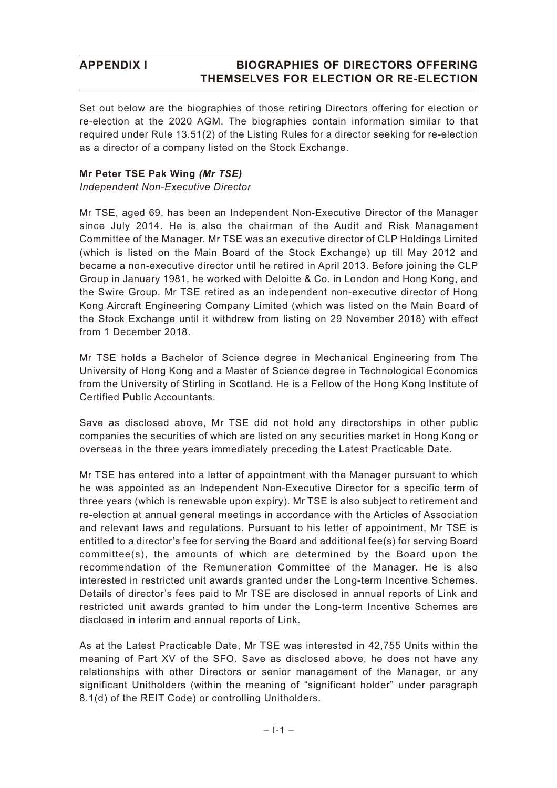Set out below are the biographies of those retiring Directors offering for election or re-election at the 2020 AGM. The biographies contain information similar to that required under Rule 13.51(2) of the Listing Rules for a director seeking for re-election as a director of a company listed on the Stock Exchange.

### **Mr Peter TSE Pak Wing** *(Mr TSE)*

*Independent Non-Executive Director*

Mr TSE, aged 69, has been an Independent Non-Executive Director of the Manager since July 2014. He is also the chairman of the Audit and Risk Management Committee of the Manager. Mr TSE was an executive director of CLP Holdings Limited (which is listed on the Main Board of the Stock Exchange) up till May 2012 and became a non-executive director until he retired in April 2013. Before joining the CLP Group in January 1981, he worked with Deloitte & Co. in London and Hong Kong, and the Swire Group. Mr TSE retired as an independent non-executive director of Hong Kong Aircraft Engineering Company Limited (which was listed on the Main Board of the Stock Exchange until it withdrew from listing on 29 November 2018) with effect from 1 December 2018.

Mr TSE holds a Bachelor of Science degree in Mechanical Engineering from The University of Hong Kong and a Master of Science degree in Technological Economics from the University of Stirling in Scotland. He is a Fellow of the Hong Kong Institute of Certified Public Accountants.

Save as disclosed above, Mr TSE did not hold any directorships in other public companies the securities of which are listed on any securities market in Hong Kong or overseas in the three years immediately preceding the Latest Practicable Date.

Mr TSE has entered into a letter of appointment with the Manager pursuant to which he was appointed as an Independent Non-Executive Director for a specific term of three years (which is renewable upon expiry). Mr TSE is also subject to retirement and re-election at annual general meetings in accordance with the Articles of Association and relevant laws and regulations. Pursuant to his letter of appointment, Mr TSE is entitled to a director's fee for serving the Board and additional fee(s) for serving Board committee(s), the amounts of which are determined by the Board upon the recommendation of the Remuneration Committee of the Manager. He is also interested in restricted unit awards granted under the Long-term Incentive Schemes. Details of director's fees paid to Mr TSE are disclosed in annual reports of Link and restricted unit awards granted to him under the Long-term Incentive Schemes are disclosed in interim and annual reports of Link.

As at the Latest Practicable Date, Mr TSE was interested in 42,755 Units within the meaning of Part XV of the SFO. Save as disclosed above, he does not have any relationships with other Directors or senior management of the Manager, or any significant Unitholders (within the meaning of "significant holder" under paragraph 8.1(d) of the REIT Code) or controlling Unitholders.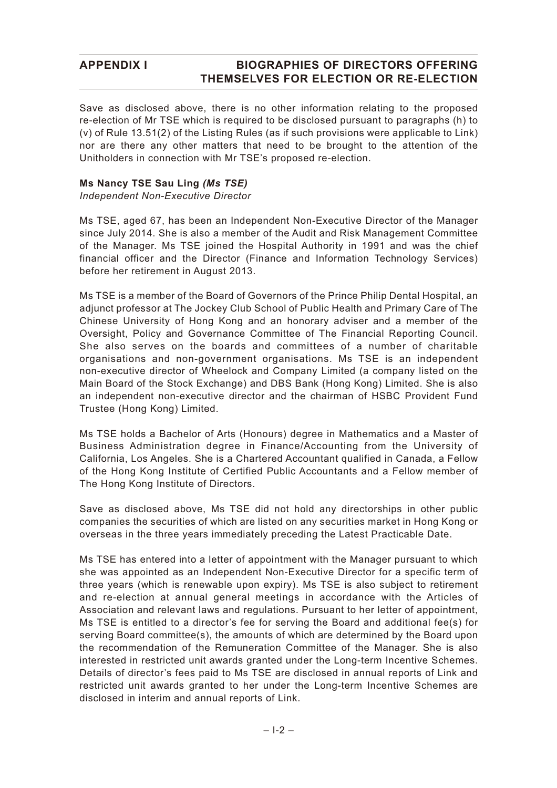Save as disclosed above, there is no other information relating to the proposed re-election of Mr TSE which is required to be disclosed pursuant to paragraphs (h) to (v) of Rule 13.51(2) of the Listing Rules (as if such provisions were applicable to Link) nor are there any other matters that need to be brought to the attention of the Unitholders in connection with Mr TSE's proposed re-election.

#### **Ms Nancy TSE Sau Ling** *(Ms TSE)*

*Independent Non-Executive Director*

Ms TSE, aged 67, has been an Independent Non-Executive Director of the Manager since July 2014. She is also a member of the Audit and Risk Management Committee of the Manager. Ms TSE joined the Hospital Authority in 1991 and was the chief financial officer and the Director (Finance and Information Technology Services) before her retirement in August 2013.

Ms TSE is a member of the Board of Governors of the Prince Philip Dental Hospital, an adjunct professor at The Jockey Club School of Public Health and Primary Care of The Chinese University of Hong Kong and an honorary adviser and a member of the Oversight, Policy and Governance Committee of The Financial Reporting Council. She also serves on the boards and committees of a number of charitable organisations and non-government organisations. Ms TSE is an independent non-executive director of Wheelock and Company Limited (a company listed on the Main Board of the Stock Exchange) and DBS Bank (Hong Kong) Limited. She is also an independent non-executive director and the chairman of HSBC Provident Fund Trustee (Hong Kong) Limited.

Ms TSE holds a Bachelor of Arts (Honours) degree in Mathematics and a Master of Business Administration degree in Finance/Accounting from the University of California, Los Angeles. She is a Chartered Accountant qualified in Canada, a Fellow of the Hong Kong Institute of Certified Public Accountants and a Fellow member of The Hong Kong Institute of Directors.

Save as disclosed above, Ms TSE did not hold any directorships in other public companies the securities of which are listed on any securities market in Hong Kong or overseas in the three years immediately preceding the Latest Practicable Date.

Ms TSE has entered into a letter of appointment with the Manager pursuant to which she was appointed as an Independent Non-Executive Director for a specific term of three years (which is renewable upon expiry). Ms TSE is also subject to retirement and re-election at annual general meetings in accordance with the Articles of Association and relevant laws and regulations. Pursuant to her letter of appointment, Ms TSE is entitled to a director's fee for serving the Board and additional fee(s) for serving Board committee(s), the amounts of which are determined by the Board upon the recommendation of the Remuneration Committee of the Manager. She is also interested in restricted unit awards granted under the Long-term Incentive Schemes. Details of director's fees paid to Ms TSE are disclosed in annual reports of Link and restricted unit awards granted to her under the Long-term Incentive Schemes are disclosed in interim and annual reports of Link.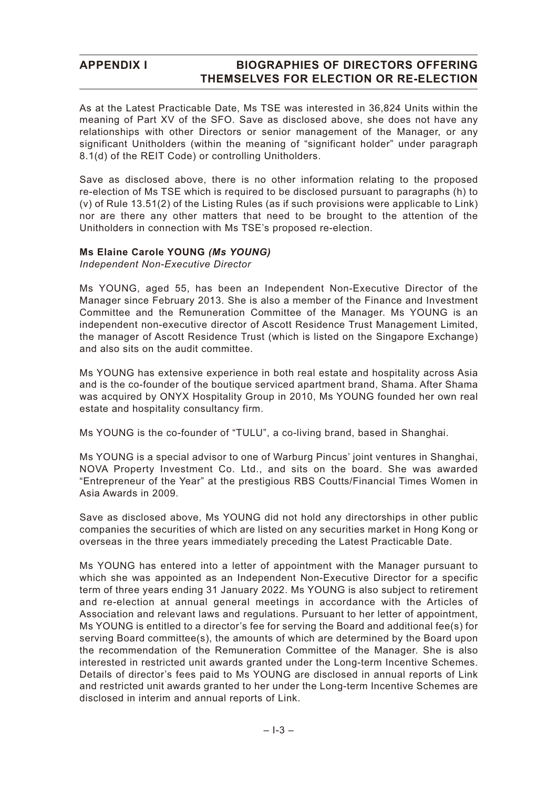As at the Latest Practicable Date, Ms TSE was interested in 36,824 Units within the meaning of Part XV of the SFO. Save as disclosed above, she does not have any relationships with other Directors or senior management of the Manager, or any significant Unitholders (within the meaning of "significant holder" under paragraph 8.1(d) of the REIT Code) or controlling Unitholders.

Save as disclosed above, there is no other information relating to the proposed re-election of Ms TSE which is required to be disclosed pursuant to paragraphs (h) to (v) of Rule 13.51(2) of the Listing Rules (as if such provisions were applicable to Link) nor are there any other matters that need to be brought to the attention of the Unitholders in connection with Ms TSE's proposed re-election.

#### **Ms Elaine Carole YOUNG** *(Ms YOUNG)*

*Independent Non-Executive Director*

Ms YOUNG, aged 55, has been an Independent Non-Executive Director of the Manager since February 2013. She is also a member of the Finance and Investment Committee and the Remuneration Committee of the Manager. Ms YOUNG is an independent non-executive director of Ascott Residence Trust Management Limited, the manager of Ascott Residence Trust (which is listed on the Singapore Exchange) and also sits on the audit committee.

Ms YOUNG has extensive experience in both real estate and hospitality across Asia and is the co-founder of the boutique serviced apartment brand, Shama. After Shama was acquired by ONYX Hospitality Group in 2010, Ms YOUNG founded her own real estate and hospitality consultancy firm.

Ms YOUNG is the co-founder of "TULU", a co-living brand, based in Shanghai.

Ms YOUNG is a special advisor to one of Warburg Pincus' joint ventures in Shanghai, NOVA Property Investment Co. Ltd., and sits on the board. She was awarded "Entrepreneur of the Year" at the prestigious RBS Coutts/Financial Times Women in Asia Awards in 2009.

Save as disclosed above, Ms YOUNG did not hold any directorships in other public companies the securities of which are listed on any securities market in Hong Kong or overseas in the three years immediately preceding the Latest Practicable Date.

Ms YOUNG has entered into a letter of appointment with the Manager pursuant to which she was appointed as an Independent Non-Executive Director for a specific term of three years ending 31 January 2022. Ms YOUNG is also subject to retirement and re-election at annual general meetings in accordance with the Articles of Association and relevant laws and regulations. Pursuant to her letter of appointment, Ms YOUNG is entitled to a director's fee for serving the Board and additional fee(s) for serving Board committee(s), the amounts of which are determined by the Board upon the recommendation of the Remuneration Committee of the Manager. She is also interested in restricted unit awards granted under the Long-term Incentive Schemes. Details of director's fees paid to Ms YOUNG are disclosed in annual reports of Link and restricted unit awards granted to her under the Long-term Incentive Schemes are disclosed in interim and annual reports of Link.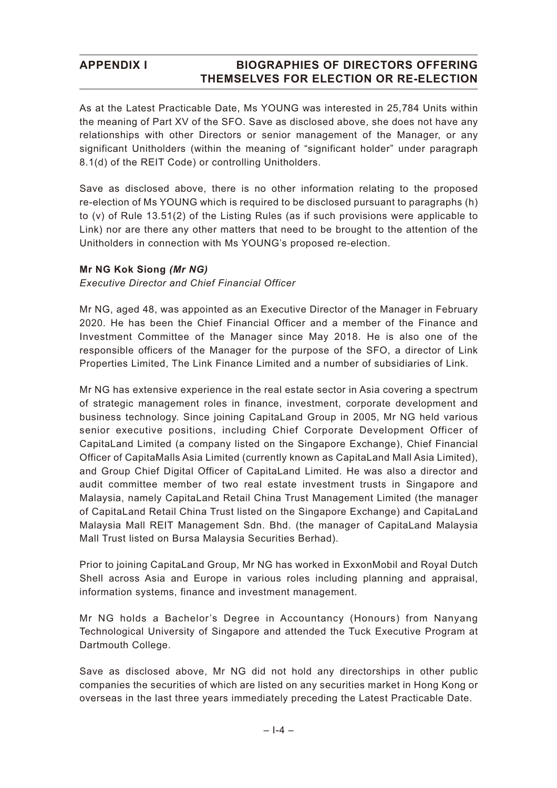As at the Latest Practicable Date, Ms YOUNG was interested in 25,784 Units within the meaning of Part XV of the SFO. Save as disclosed above, she does not have any relationships with other Directors or senior management of the Manager, or any significant Unitholders (within the meaning of "significant holder" under paragraph 8.1(d) of the REIT Code) or controlling Unitholders.

Save as disclosed above, there is no other information relating to the proposed re-election of Ms YOUNG which is required to be disclosed pursuant to paragraphs (h) to (v) of Rule 13.51(2) of the Listing Rules (as if such provisions were applicable to Link) nor are there any other matters that need to be brought to the attention of the Unitholders in connection with Ms YOUNG's proposed re-election.

### **Mr NG Kok Siong** *(Mr NG)*

*Executive Director and Chief Financial Officer*

Mr NG, aged 48, was appointed as an Executive Director of the Manager in February 2020. He has been the Chief Financial Officer and a member of the Finance and Investment Committee of the Manager since May 2018. He is also one of the responsible officers of the Manager for the purpose of the SFO, a director of Link Properties Limited, The Link Finance Limited and a number of subsidiaries of Link.

Mr NG has extensive experience in the real estate sector in Asia covering a spectrum of strategic management roles in finance, investment, corporate development and business technology. Since joining CapitaLand Group in 2005, Mr NG held various senior executive positions, including Chief Corporate Development Officer of CapitaLand Limited (a company listed on the Singapore Exchange), Chief Financial Officer of CapitaMalls Asia Limited (currently known as CapitaLand Mall Asia Limited), and Group Chief Digital Officer of CapitaLand Limited. He was also a director and audit committee member of two real estate investment trusts in Singapore and Malaysia, namely CapitaLand Retail China Trust Management Limited (the manager of CapitaLand Retail China Trust listed on the Singapore Exchange) and CapitaLand Malaysia Mall REIT Management Sdn. Bhd. (the manager of CapitaLand Malaysia Mall Trust listed on Bursa Malaysia Securities Berhad).

Prior to joining CapitaLand Group, Mr NG has worked in ExxonMobil and Royal Dutch Shell across Asia and Europe in various roles including planning and appraisal, information systems, finance and investment management.

Mr NG holds a Bachelor's Degree in Accountancy (Honours) from Nanyang Technological University of Singapore and attended the Tuck Executive Program at Dartmouth College.

Save as disclosed above, Mr NG did not hold any directorships in other public companies the securities of which are listed on any securities market in Hong Kong or overseas in the last three years immediately preceding the Latest Practicable Date.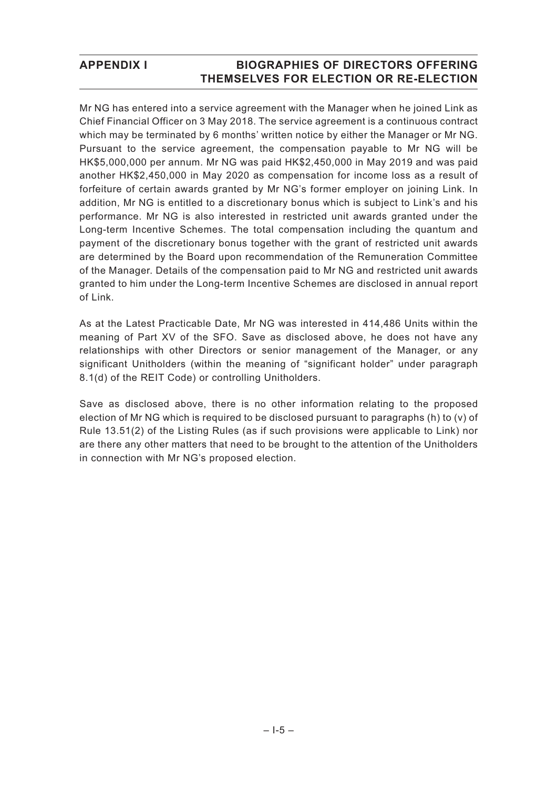Mr NG has entered into a service agreement with the Manager when he joined Link as Chief Financial Officer on 3 May 2018. The service agreement is a continuous contract which may be terminated by 6 months' written notice by either the Manager or Mr NG. Pursuant to the service agreement, the compensation payable to Mr NG will be HK\$5,000,000 per annum. Mr NG was paid HK\$2,450,000 in May 2019 and was paid another HK\$2,450,000 in May 2020 as compensation for income loss as a result of forfeiture of certain awards granted by Mr NG's former employer on joining Link. In addition, Mr NG is entitled to a discretionary bonus which is subject to Link's and his performance. Mr NG is also interested in restricted unit awards granted under the Long-term Incentive Schemes. The total compensation including the quantum and payment of the discretionary bonus together with the grant of restricted unit awards are determined by the Board upon recommendation of the Remuneration Committee of the Manager. Details of the compensation paid to Mr NG and restricted unit awards granted to him under the Long-term Incentive Schemes are disclosed in annual report of Link.

As at the Latest Practicable Date, Mr NG was interested in 414,486 Units within the meaning of Part XV of the SFO. Save as disclosed above, he does not have any relationships with other Directors or senior management of the Manager, or any significant Unitholders (within the meaning of "significant holder" under paragraph 8.1(d) of the REIT Code) or controlling Unitholders.

Save as disclosed above, there is no other information relating to the proposed election of Mr NG which is required to be disclosed pursuant to paragraphs (h) to (v) of Rule 13.51(2) of the Listing Rules (as if such provisions were applicable to Link) nor are there any other matters that need to be brought to the attention of the Unitholders in connection with Mr NG's proposed election.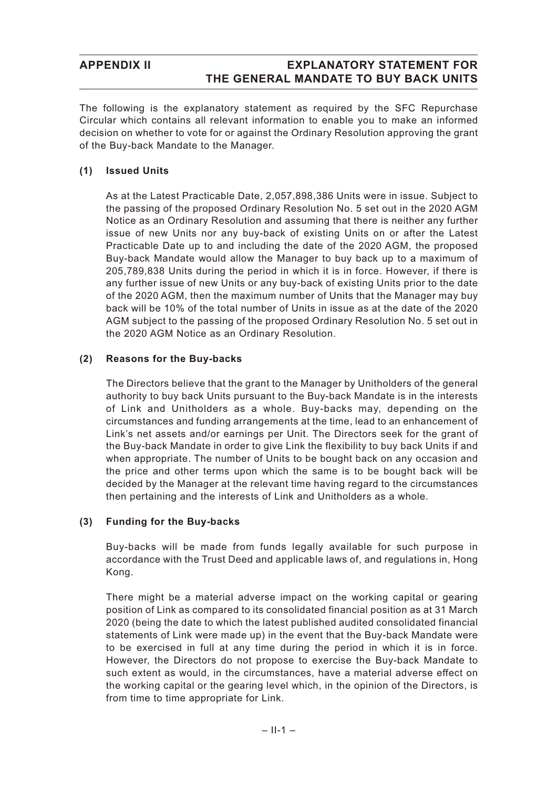## **APPENDIX II EXPLANATORY STATEMENT FOR THE GENERAL MANDATE TO BUY BACK UNITS**

The following is the explanatory statement as required by the SFC Repurchase Circular which contains all relevant information to enable you to make an informed decision on whether to vote for or against the Ordinary Resolution approving the grant of the Buy-back Mandate to the Manager.

## **(1) Issued Units**

As at the Latest Practicable Date, 2,057,898,386 Units were in issue. Subject to the passing of the proposed Ordinary Resolution No. 5 set out in the 2020 AGM Notice as an Ordinary Resolution and assuming that there is neither any further issue of new Units nor any buy-back of existing Units on or after the Latest Practicable Date up to and including the date of the 2020 AGM, the proposed Buy-back Mandate would allow the Manager to buy back up to a maximum of 205,789,838 Units during the period in which it is in force. However, if there is any further issue of new Units or any buy-back of existing Units prior to the date of the 2020 AGM, then the maximum number of Units that the Manager may buy back will be 10% of the total number of Units in issue as at the date of the 2020 AGM subject to the passing of the proposed Ordinary Resolution No. 5 set out in the 2020 AGM Notice as an Ordinary Resolution.

### **(2) Reasons for the Buy-backs**

The Directors believe that the grant to the Manager by Unitholders of the general authority to buy back Units pursuant to the Buy-back Mandate is in the interests of Link and Unitholders as a whole. Buy-backs may, depending on the circumstances and funding arrangements at the time, lead to an enhancement of Link's net assets and/or earnings per Unit. The Directors seek for the grant of the Buy-back Mandate in order to give Link the flexibility to buy back Units if and when appropriate. The number of Units to be bought back on any occasion and the price and other terms upon which the same is to be bought back will be decided by the Manager at the relevant time having regard to the circumstances then pertaining and the interests of Link and Unitholders as a whole.

#### **(3) Funding for the Buy-backs**

Buy-backs will be made from funds legally available for such purpose in accordance with the Trust Deed and applicable laws of, and regulations in, Hong Kong.

There might be a material adverse impact on the working capital or gearing position of Link as compared to its consolidated financial position as at 31 March 2020 (being the date to which the latest published audited consolidated financial statements of Link were made up) in the event that the Buy-back Mandate were to be exercised in full at any time during the period in which it is in force. However, the Directors do not propose to exercise the Buy-back Mandate to such extent as would, in the circumstances, have a material adverse effect on the working capital or the gearing level which, in the opinion of the Directors, is from time to time appropriate for Link.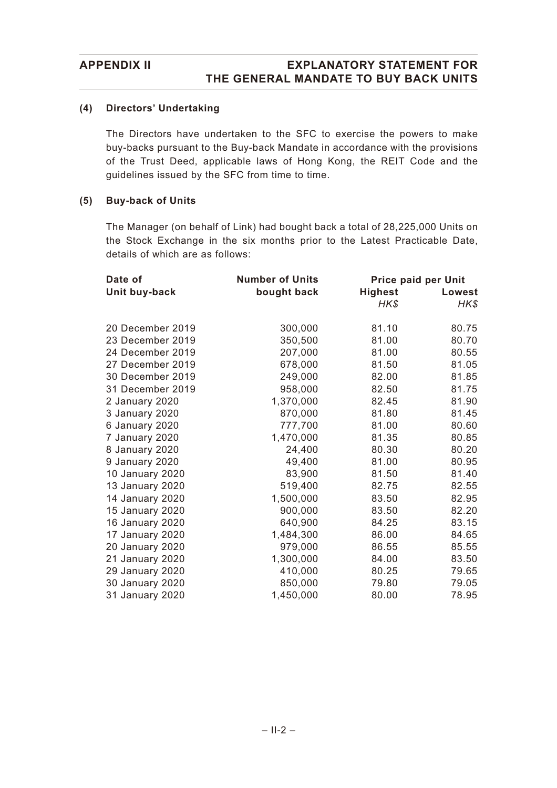### **(4) Directors' Undertaking**

The Directors have undertaken to the SFC to exercise the powers to make buy-backs pursuant to the Buy-back Mandate in accordance with the provisions of the Trust Deed, applicable laws of Hong Kong, the REIT Code and the guidelines issued by the SFC from time to time.

#### **(5) Buy-back of Units**

The Manager (on behalf of Link) had bought back a total of 28,225,000 Units on the Stock Exchange in the six months prior to the Latest Practicable Date, details of which are as follows:

| Date of          | <b>Number of Units</b> | Price paid per Unit |        |
|------------------|------------------------|---------------------|--------|
| Unit buy-back    | bought back            | <b>Highest</b>      | Lowest |
|                  |                        | HK\$                | HK\$   |
|                  |                        |                     |        |
| 20 December 2019 | 300,000                | 81.10               | 80.75  |
| 23 December 2019 | 350,500                | 81.00               | 80.70  |
| 24 December 2019 | 207,000                | 81.00               | 80.55  |
| 27 December 2019 | 678,000                | 81.50               | 81.05  |
| 30 December 2019 | 249,000                | 82.00               | 81.85  |
| 31 December 2019 | 958,000                | 82.50               | 81.75  |
| 2 January 2020   | 1,370,000              | 82.45               | 81.90  |
| 3 January 2020   | 870,000                | 81.80               | 81.45  |
| 6 January 2020   | 777,700                | 81.00               | 80.60  |
| 7 January 2020   | 1,470,000              | 81.35               | 80.85  |
| 8 January 2020   | 24,400                 | 80.30               | 80.20  |
| 9 January 2020   | 49,400                 | 81.00               | 80.95  |
| 10 January 2020  | 83,900                 | 81.50               | 81.40  |
| 13 January 2020  | 519,400                | 82.75               | 82.55  |
| 14 January 2020  | 1,500,000              | 83.50               | 82.95  |
| 15 January 2020  | 900,000                | 83.50               | 82.20  |
| 16 January 2020  | 640,900                | 84.25               | 83.15  |
| 17 January 2020  | 1,484,300              | 86.00               | 84.65  |
| 20 January 2020  | 979,000                | 86.55               | 85.55  |
| 21 January 2020  | 1,300,000              | 84.00               | 83.50  |
| 29 January 2020  | 410,000                | 80.25               | 79.65  |
| 30 January 2020  | 850,000                | 79.80               | 79.05  |
| 31 January 2020  | 1,450,000              | 80.00               | 78.95  |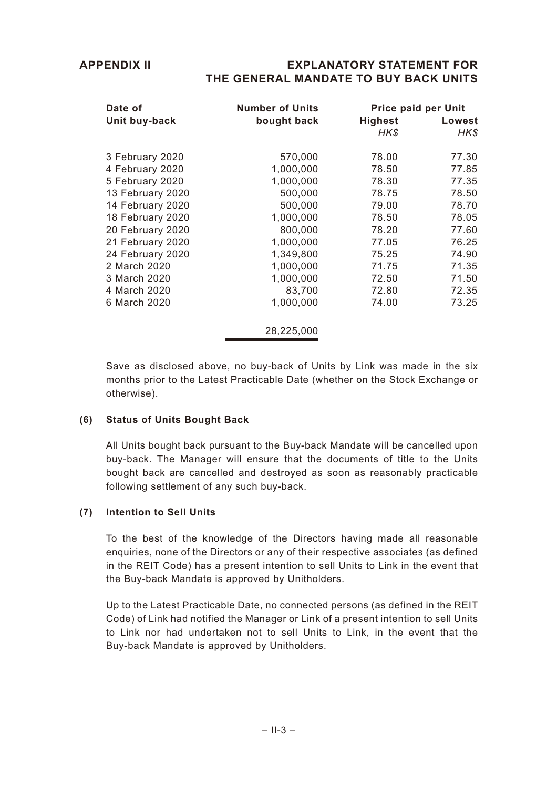## **APPENDIX II EXPLANATORY STATEMENT FOR THE GENERAL MANDATE TO BUY BACK UNITS**

| Date of<br>Unit buy-back | <b>Number of Units</b><br>bought back | <b>Highest</b><br>HK\$ | <b>Price paid per Unit</b><br>Lowest<br>HK\$ |
|--------------------------|---------------------------------------|------------------------|----------------------------------------------|
| 3 February 2020          | 570,000                               | 78.00                  | 77.30                                        |
| 4 February 2020          | 1,000,000                             | 78.50                  | 77.85                                        |
| 5 February 2020          | 1,000,000                             | 78.30                  | 77.35                                        |
| 13 February 2020         | 500,000                               | 78.75                  | 78.50                                        |
| 14 February 2020         | 500,000                               | 79.00                  | 78.70                                        |
| 18 February 2020         | 1,000,000                             | 78.50                  | 78.05                                        |
| 20 February 2020         | 800,000                               | 78.20                  | 77.60                                        |
| 21 February 2020         | 1,000,000                             | 77.05                  | 76.25                                        |
| 24 February 2020         | 1,349,800                             | 75.25                  | 74.90                                        |
| 2 March 2020             | 1,000,000                             | 71.75                  | 71.35                                        |
| 3 March 2020             | 1,000,000                             | 72.50                  | 71.50                                        |
| 4 March 2020             | 83,700                                | 72.80                  | 72.35                                        |
| 6 March 2020             | 1,000,000                             | 74.00                  | 73.25                                        |
|                          | 28,225,000                            |                        |                                              |

Save as disclosed above, no buy-back of Units by Link was made in the six months prior to the Latest Practicable Date (whether on the Stock Exchange or otherwise).

#### **(6) Status of Units Bought Back**

All Units bought back pursuant to the Buy-back Mandate will be cancelled upon buy-back. The Manager will ensure that the documents of title to the Units bought back are cancelled and destroyed as soon as reasonably practicable following settlement of any such buy-back.

#### **(7) Intention to Sell Units**

To the best of the knowledge of the Directors having made all reasonable enquiries, none of the Directors or any of their respective associates (as defined in the REIT Code) has a present intention to sell Units to Link in the event that the Buy-back Mandate is approved by Unitholders.

Up to the Latest Practicable Date, no connected persons (as defined in the REIT Code) of Link had notified the Manager or Link of a present intention to sell Units to Link nor had undertaken not to sell Units to Link, in the event that the Buy-back Mandate is approved by Unitholders.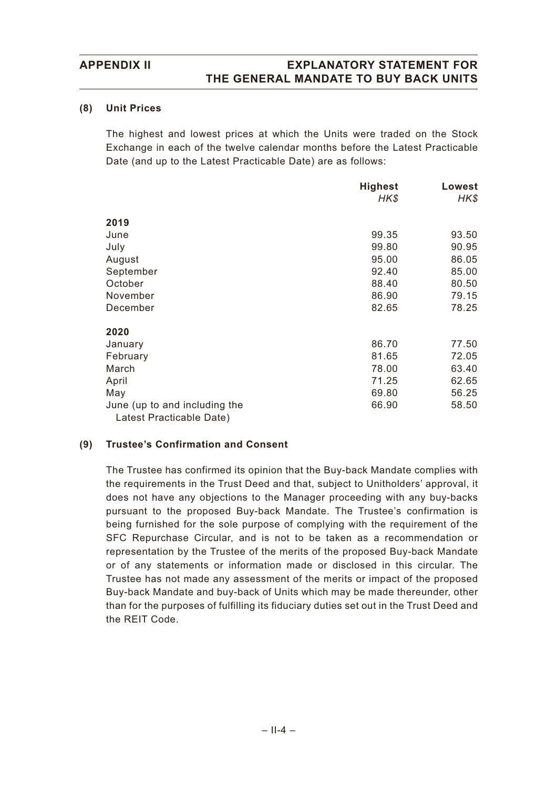## **APPENDIX II EXPLANATORY STATEMENT FOR THE GENERAL MANDATE TO BUY BACK UNITS**

#### **(8) Unit Prices**

The highest and lowest prices at which the Units were traded on the Stock Exchange in each of the twelve calendar months before the Latest Practicable Date (and up to the Latest Practicable Date) are as follows:

|                                                           | <b>Highest</b> | Lowest |
|-----------------------------------------------------------|----------------|--------|
|                                                           | HK\$           | HK\$   |
| 2019                                                      |                |        |
| June                                                      | 99.35          | 93.50  |
| July                                                      | 99.80          | 90.95  |
| August                                                    | 95.00          | 86.05  |
| September                                                 | 92.40          | 85.00  |
| October                                                   | 88.40          | 80.50  |
| November                                                  | 86.90          | 79.15  |
| December                                                  | 82.65          | 78.25  |
| 2020                                                      |                |        |
| January                                                   | 86.70          | 77.50  |
| February                                                  | 81.65          | 72.05  |
| March                                                     | 78.00          | 63.40  |
| April                                                     | 71.25          | 62.65  |
| May                                                       | 69.80          | 56.25  |
| June (up to and including the<br>Latest Practicable Date) | 66.90          | 58.50  |

## **(9) Trustee's Confirmation and Consent**

The Trustee has confirmed its opinion that the Buy-back Mandate complies with the requirements in the Trust Deed and that, subject to Unitholders' approval, it does not have any objections to the Manager proceeding with any buy-backs pursuant to the proposed Buy-back Mandate. The Trustee's confirmation is being furnished for the sole purpose of complying with the requirement of the SFC Repurchase Circular, and is not to be taken as a recommendation or representation by the Trustee of the merits of the proposed Buy-back Mandate or of any statements or information made or disclosed in this circular. The Trustee has not made any assessment of the merits or impact of the proposed Buy-back Mandate and buy-back of Units which may be made thereunder, other than for the purposes of fulfilling its fiduciary duties set out in the Trust Deed and the REIT Code.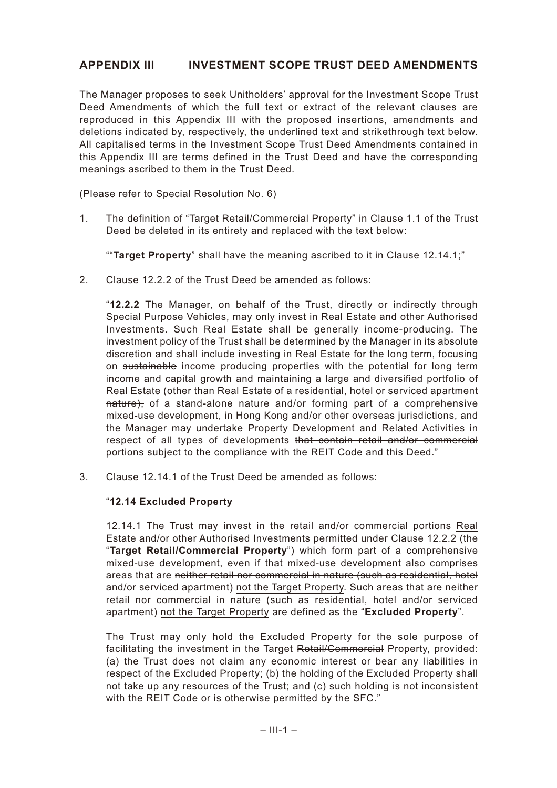## **APPENDIX III INVESTMENT SCOPE TRUST DEED AMENDMENTS**

The Manager proposes to seek Unitholders' approval for the Investment Scope Trust Deed Amendments of which the full text or extract of the relevant clauses are reproduced in this Appendix III with the proposed insertions, amendments and deletions indicated by, respectively, the underlined text and strikethrough text below. All capitalised terms in the Investment Scope Trust Deed Amendments contained in this Appendix III are terms defined in the Trust Deed and have the corresponding meanings ascribed to them in the Trust Deed.

(Please refer to Special Resolution No. 6)

1. The definition of "Target Retail/Commercial Property" in Clause 1.1 of the Trust Deed be deleted in its entirety and replaced with the text below:

""**Target Property**" shall have the meaning ascribed to it in Clause 12.14.1;"

2. Clause 12.2.2 of the Trust Deed be amended as follows:

"**12.2.2** The Manager, on behalf of the Trust, directly or indirectly through Special Purpose Vehicles, may only invest in Real Estate and other Authorised Investments. Such Real Estate shall be generally income-producing. The investment policy of the Trust shall be determined by the Manager in its absolute discretion and shall include investing in Real Estate for the long term, focusing on sustainable income producing properties with the potential for long term income and capital growth and maintaining a large and diversified portfolio of Real Estate (other than Real Estate of a residential, hotel or serviced apartment nature), of a stand-alone nature and/or forming part of a comprehensive mixed-use development, in Hong Kong and/or other overseas jurisdictions, and the Manager may undertake Property Development and Related Activities in respect of all types of developments that contain retail and/or commercial portions subject to the compliance with the REIT Code and this Deed."

3. Clause 12.14.1 of the Trust Deed be amended as follows:

## "**12.14 Excluded Property**

12.14.1 The Trust may invest in the retail and/or commercial portions Real Estate and/or other Authorised Investments permitted under Clause 12.2.2 (the "**Target Retail/Commercial Property**") which form part of a comprehensive mixed-use development, even if that mixed-use development also comprises areas that are neither retail nor commercial in nature (such as residential, hotel and/or serviced apartment) not the Target Property. Such areas that are neither retail nor commercial in nature (such as residential, hotel and/or serviced apartment) not the Target Property are defined as the "**Excluded Property**".

The Trust may only hold the Excluded Property for the sole purpose of facilitating the investment in the Target Retail/Commercial Property, provided: (a) the Trust does not claim any economic interest or bear any liabilities in respect of the Excluded Property; (b) the holding of the Excluded Property shall not take up any resources of the Trust; and (c) such holding is not inconsistent with the REIT Code or is otherwise permitted by the SFC."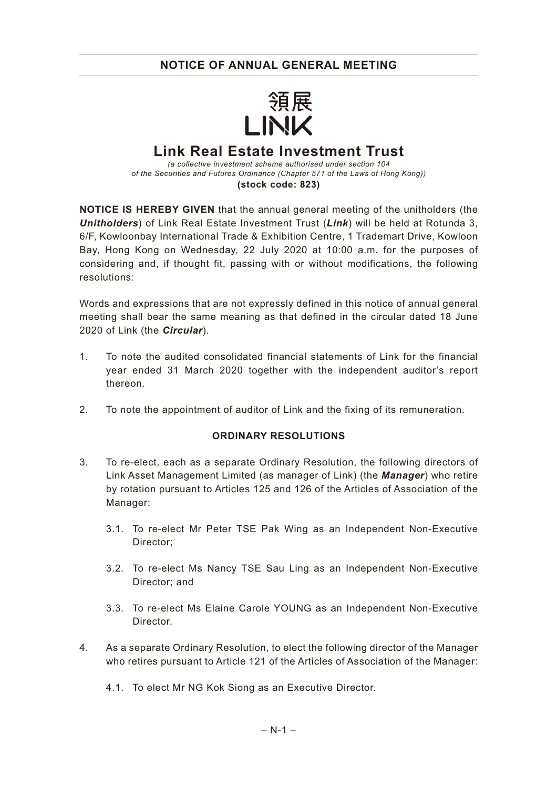## **NOTICE OF ANNUAL GENERAL MEETING**



# **Link Real Estate Investment Trust**

*(a collective investment scheme authorised under section 104 of the Securities and Futures Ordinance (Chapter 571 of the Laws of Hong Kong))* **(stock code: 823)**

**NOTICE IS HEREBY GIVEN** that the annual general meeting of the unitholders (the *Unitholders*) of Link Real Estate Investment Trust (*Link*) will be held at Rotunda 3, 6/F, Kowloonbay International Trade & Exhibition Centre, 1 Trademart Drive, Kowloon Bay, Hong Kong on Wednesday, 22 July 2020 at 10:00 a.m. for the purposes of considering and, if thought fit, passing with or without modifications, the following resolutions:

Words and expressions that are not expressly defined in this notice of annual general meeting shall bear the same meaning as that defined in the circular dated 18 June 2020 of Link (the *Circular*).

- 1. To note the audited consolidated financial statements of Link for the financial year ended 31 March 2020 together with the independent auditor's report thereon.
- 2. To note the appointment of auditor of Link and the fixing of its remuneration.

## **ORDINARY RESOLUTIONS**

- 3. To re-elect, each as a separate Ordinary Resolution, the following directors of Link Asset Management Limited (as manager of Link) (the *Manager*) who retire by rotation pursuant to Articles 125 and 126 of the Articles of Association of the Manager:
	- 3.1. To re-elect Mr Peter TSE Pak Wing as an Independent Non-Executive Director;
	- 3.2. To re-elect Ms Nancy TSE Sau Ling as an Independent Non-Executive Director; and
	- 3.3. To re-elect Ms Elaine Carole YOUNG as an Independent Non-Executive Director.
- 4. As a separate Ordinary Resolution, to elect the following director of the Manager who retires pursuant to Article 121 of the Articles of Association of the Manager:
	- 4.1. To elect Mr NG Kok Siong as an Executive Director.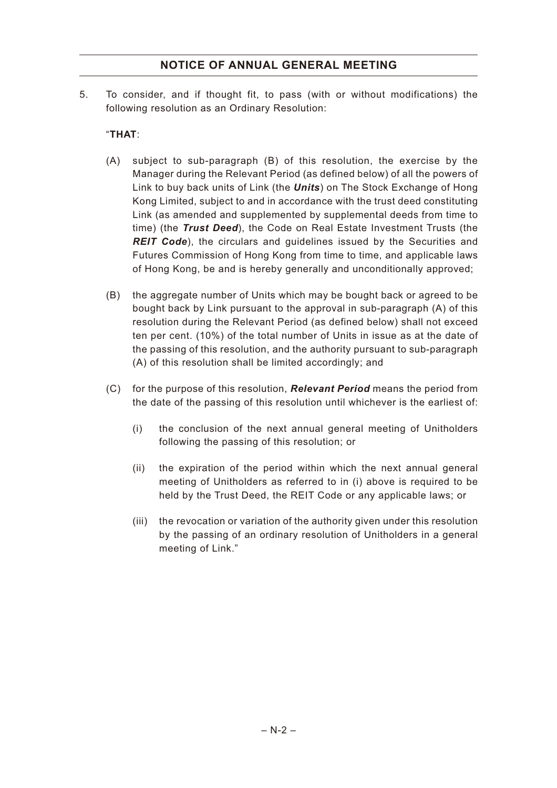## **NOTICE OF ANNUAL GENERAL MEETING**

5. To consider, and if thought fit, to pass (with or without modifications) the following resolution as an Ordinary Resolution:

## "**THAT**:

- (A) subject to sub-paragraph (B) of this resolution, the exercise by the Manager during the Relevant Period (as defined below) of all the powers of Link to buy back units of Link (the *Units*) on The Stock Exchange of Hong Kong Limited, subject to and in accordance with the trust deed constituting Link (as amended and supplemented by supplemental deeds from time to time) (the *Trust Deed*), the Code on Real Estate Investment Trusts (the *REIT Code*), the circulars and guidelines issued by the Securities and Futures Commission of Hong Kong from time to time, and applicable laws of Hong Kong, be and is hereby generally and unconditionally approved;
- (B) the aggregate number of Units which may be bought back or agreed to be bought back by Link pursuant to the approval in sub-paragraph (A) of this resolution during the Relevant Period (as defined below) shall not exceed ten per cent. (10%) of the total number of Units in issue as at the date of the passing of this resolution, and the authority pursuant to sub-paragraph (A) of this resolution shall be limited accordingly; and
- (C) for the purpose of this resolution, *Relevant Period* means the period from the date of the passing of this resolution until whichever is the earliest of:
	- (i) the conclusion of the next annual general meeting of Unitholders following the passing of this resolution; or
	- (ii) the expiration of the period within which the next annual general meeting of Unitholders as referred to in (i) above is required to be held by the Trust Deed, the REIT Code or any applicable laws; or
	- (iii) the revocation or variation of the authority given under this resolution by the passing of an ordinary resolution of Unitholders in a general meeting of Link."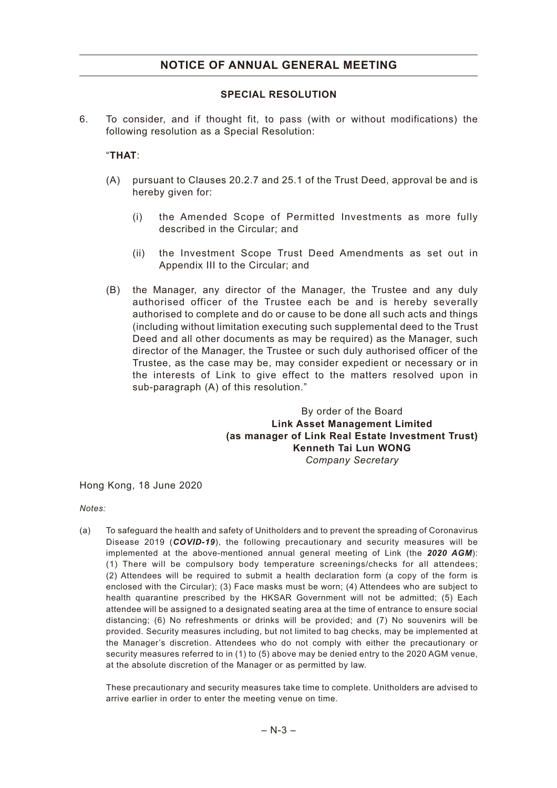## **SPECIAL RESOLUTION**

6. To consider, and if thought fit, to pass (with or without modifications) the following resolution as a Special Resolution:

## "**THAT**:

- (A) pursuant to Clauses 20.2.7 and 25.1 of the Trust Deed, approval be and is hereby given for:
	- (i) the Amended Scope of Permitted Investments as more fully described in the Circular; and
	- (ii) the Investment Scope Trust Deed Amendments as set out in Appendix III to the Circular; and
- (B) the Manager, any director of the Manager, the Trustee and any duly authorised officer of the Trustee each be and is hereby severally authorised to complete and do or cause to be done all such acts and things (including without limitation executing such supplemental deed to the Trust Deed and all other documents as may be required) as the Manager, such director of the Manager, the Trustee or such duly authorised officer of the Trustee, as the case may be, may consider expedient or necessary or in the interests of Link to give effect to the matters resolved upon in sub-paragraph (A) of this resolution."

By order of the Board **Link Asset Management Limited (as manager of Link Real Estate Investment Trust) Kenneth Tai Lun WONG** *Company Secretary*

Hong Kong, 18 June 2020

*Notes:*

(a) To safeguard the health and safety of Unitholders and to prevent the spreading of Coronavirus Disease 2019 (*COVID-19*), the following precautionary and security measures will be implemented at the above-mentioned annual general meeting of Link (the *2020 AGM*): (1) There will be compulsory body temperature screenings/checks for all attendees; (2) Attendees will be required to submit a health declaration form (a copy of the form is enclosed with the Circular); (3) Face masks must be worn; (4) Attendees who are subject to health quarantine prescribed by the HKSAR Government will not be admitted; (5) Each attendee will be assigned to a designated seating area at the time of entrance to ensure social distancing; (6) No refreshments or drinks will be provided; and (7) No souvenirs will be provided. Security measures including, but not limited to bag checks, may be implemented at the Manager's discretion. Attendees who do not comply with either the precautionary or security measures referred to in (1) to (5) above may be denied entry to the 2020 AGM venue, at the absolute discretion of the Manager or as permitted by law.

These precautionary and security measures take time to complete. Unitholders are advised to arrive earlier in order to enter the meeting venue on time.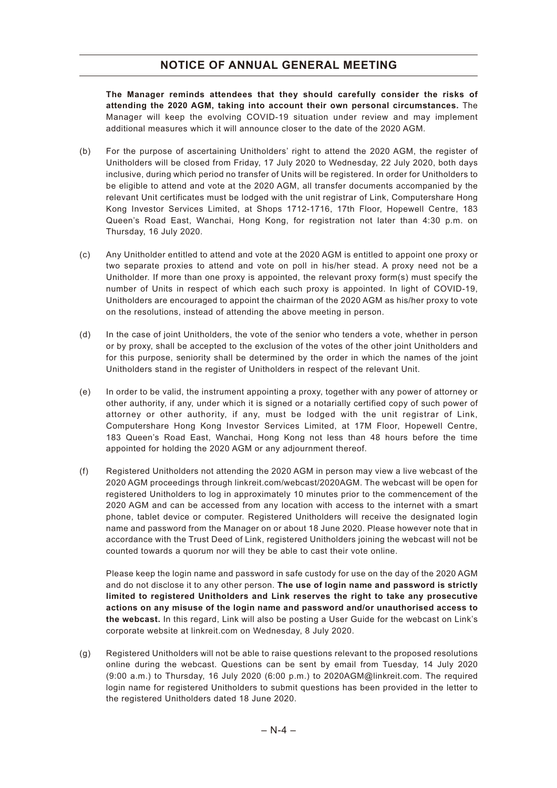## **NOTICE OF ANNUAL GENERAL MEETING**

**The Manager reminds attendees that they should carefully consider the risks of attending the 2020 AGM, taking into account their own personal circumstances.** The Manager will keep the evolving COVID-19 situation under review and may implement additional measures which it will announce closer to the date of the 2020 AGM.

- (b) For the purpose of ascertaining Unitholders' right to attend the 2020 AGM, the register of Unitholders will be closed from Friday, 17 July 2020 to Wednesday, 22 July 2020, both days inclusive, during which period no transfer of Units will be registered. In order for Unitholders to be eligible to attend and vote at the 2020 AGM, all transfer documents accompanied by the relevant Unit certificates must be lodged with the unit registrar of Link, Computershare Hong Kong Investor Services Limited, at Shops 1712-1716, 17th Floor, Hopewell Centre, 183 Queen's Road East, Wanchai, Hong Kong, for registration not later than 4:30 p.m. on Thursday, 16 July 2020.
- (c) Any Unitholder entitled to attend and vote at the 2020 AGM is entitled to appoint one proxy or two separate proxies to attend and vote on poll in his/her stead. A proxy need not be a Unitholder. If more than one proxy is appointed, the relevant proxy form(s) must specify the number of Units in respect of which each such proxy is appointed. In light of COVID-19, Unitholders are encouraged to appoint the chairman of the 2020 AGM as his/her proxy to vote on the resolutions, instead of attending the above meeting in person.
- (d) In the case of joint Unitholders, the vote of the senior who tenders a vote, whether in person or by proxy, shall be accepted to the exclusion of the votes of the other joint Unitholders and for this purpose, seniority shall be determined by the order in which the names of the joint Unitholders stand in the register of Unitholders in respect of the relevant Unit.
- (e) In order to be valid, the instrument appointing a proxy, together with any power of attorney or other authority, if any, under which it is signed or a notarially certified copy of such power of attorney or other authority, if any, must be lodged with the unit registrar of Link, Computershare Hong Kong Investor Services Limited, at 17M Floor, Hopewell Centre, 183 Queen's Road East, Wanchai, Hong Kong not less than 48 hours before the time appointed for holding the 2020 AGM or any adjournment thereof.
- (f) Registered Unitholders not attending the 2020 AGM in person may view a live webcast of the 2020 AGM proceedings through linkreit.com/webcast/2020AGM. The webcast will be open for registered Unitholders to log in approximately 10 minutes prior to the commencement of the 2020 AGM and can be accessed from any location with access to the internet with a smart phone, tablet device or computer. Registered Unitholders will receive the designated login name and password from the Manager on or about 18 June 2020. Please however note that in accordance with the Trust Deed of Link, registered Unitholders joining the webcast will not be counted towards a quorum nor will they be able to cast their vote online.

Please keep the login name and password in safe custody for use on the day of the 2020 AGM and do not disclose it to any other person. **The use of login name and password is strictly limited to registered Unitholders and Link reserves the right to take any prosecutive actions on any misuse of the login name and password and/or unauthorised access to the webcast.** In this regard, Link will also be posting a User Guide for the webcast on Link's corporate website at linkreit.com on Wednesday, 8 July 2020.

(g) Registered Unitholders will not be able to raise questions relevant to the proposed resolutions online during the webcast. Questions can be sent by email from Tuesday, 14 July 2020 (9:00 a.m.) to Thursday, 16 July 2020 (6:00 p.m.) to 2020AGM@linkreit.com. The required login name for registered Unitholders to submit questions has been provided in the letter to the registered Unitholders dated 18 June 2020.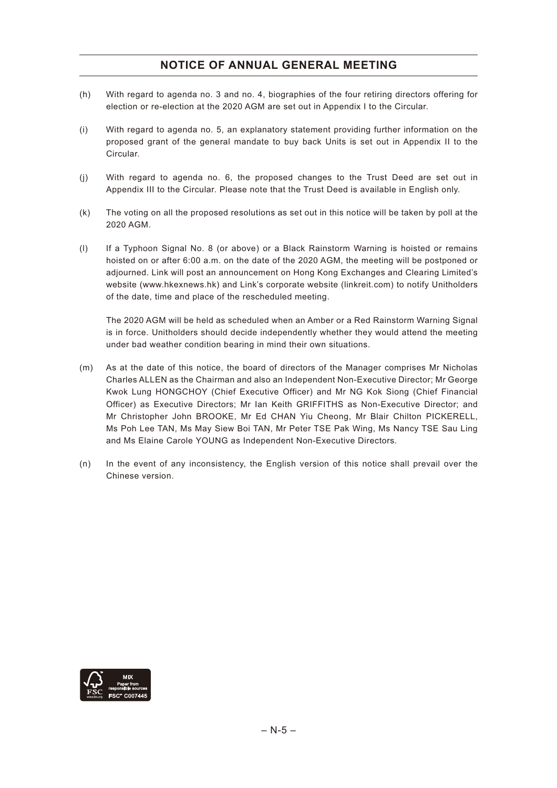## **NOTICE OF ANNUAL GENERAL MEETING**

- (h) With regard to agenda no. 3 and no. 4, biographies of the four retiring directors offering for election or re-election at the 2020 AGM are set out in Appendix I to the Circular.
- (i) With regard to agenda no. 5, an explanatory statement providing further information on the proposed grant of the general mandate to buy back Units is set out in Appendix II to the Circular.
- (j) With regard to agenda no. 6, the proposed changes to the Trust Deed are set out in Appendix III to the Circular. Please note that the Trust Deed is available in English only.
- (k) The voting on all the proposed resolutions as set out in this notice will be taken by poll at the 2020 AGM.
- (l) If a Typhoon Signal No. 8 (or above) or a Black Rainstorm Warning is hoisted or remains hoisted on or after 6:00 a.m. on the date of the 2020 AGM, the meeting will be postponed or adjourned. Link will post an announcement on Hong Kong Exchanges and Clearing Limited's website (www.hkexnews.hk) and Link's corporate website (linkreit.com) to notify Unitholders of the date, time and place of the rescheduled meeting.

The 2020 AGM will be held as scheduled when an Amber or a Red Rainstorm Warning Signal is in force. Unitholders should decide independently whether they would attend the meeting under bad weather condition bearing in mind their own situations.

- (m) As at the date of this notice, the board of directors of the Manager comprises Mr Nicholas Charles ALLEN as the Chairman and also an Independent Non-Executive Director; Mr George Kwok Lung HONGCHOY (Chief Executive Officer) and Mr NG Kok Siong (Chief Financial Officer) as Executive Directors; Mr Ian Keith GRIFFITHS as Non-Executive Director; and Mr Christopher John BROOKE, Mr Ed CHAN Yiu Cheong, Mr Blair Chilton PICKERELL, Ms Poh Lee TAN, Ms May Siew Boi TAN, Mr Peter TSE Pak Wing, Ms Nancy TSE Sau Ling and Ms Elaine Carole YOUNG as Independent Non-Executive Directors.
- (n) In the event of any inconsistency, the English version of this notice shall prevail over the Chinese version.

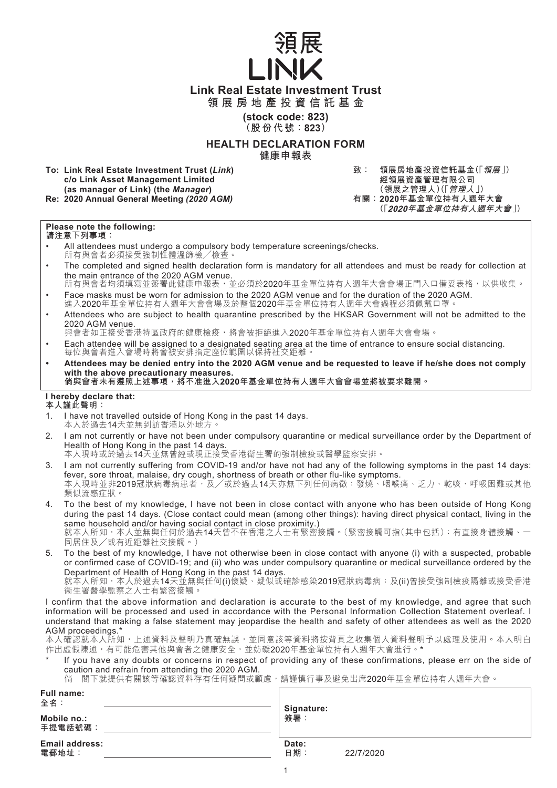

**領展房地產投資信託基金**

**(stock code: 823) (股份代號:823)**

#### **HEALTH DECLARATION FORM 健康申報表**

**To: Link Real Estate Investment Trust (***Link***) c/o Link Asset Management Limited (as manager of Link) (the** *Manager***) Re: 2020 Annual General Meeting (2020 AGM)** 

**致: 領展房地產投資信託基金(「領展」) 經領展資產管理有限公司 (領展之管理人)(「管理人」) (「2020年基金單位持有人週年大會」)**

## **Please note the following:**

- **請注意下列事項:**
- All attendees must undergo a compulsory body temperature screenings/checks. 所有與會者必須接受強制性體溫篩檢╱檢查。
- The completed and signed health declaration form is mandatory for all attendees and must be ready for collection at the main entrance of the 2020 AGM venue. 所有與會者均須填寫並簽署此健康申報表,並必須於2020年基金單位持有人週年大會會場正門入口備妥表格,以供收集。
- Face masks must be worn for admission to the 2020 AGM venue and for the duration of the 2020 AGM. - acc masks mask bo wont for admission to the 2020 Mom venue and for the duration of the 2020 for the 2020 for<br>進入2020年基金單位持有人週年大會會場及於整個2020年基金單位持有人週年大會過程必須佩戴口罩
- Attendees who are subject to health quarantine prescribed by the HKSAR Government will not be admitted to the 2020 AGM venue.

與會者如正接受香港特區政府的健康檢疫,將會被拒絕進入2020年基金單位持有人週年大會會場。

- Each attendee will be assigned to a designated seating area at the time of entrance to ensure social distancing. 每位與會者進入會場時將會被安排指定座位範圍以保持社交距離。
- **Attendees may be denied entry into the 2020 AGM venue and be requested to leave if he/she does not comply with the above precautionary measures. 倘與會者未有遵照上述事項,將不准進入2020年基金單位持有人週年大會會場並將被要求離開。**

#### **I hereby declare that:**

- **本人謹此聲明:**
- 1. I have not travelled outside of Hong Kong in the past 14 days. 本人於過去14天並無到訪香港以外地方。
- 2. I am not currently or have not been under compulsory quarantine or medical surveillance order by the Department of Health of Hong Kong in the past 14 days.

本人現時或於過去14天並無曾經或現正接受香港衛生署的強制檢疫或醫學監察安排。

- 3. I am not currently suffering from COVID-19 and/or have not had any of the following symptoms in the past 14 days: fever, sore throat, malaise, dry cough, shortness of breath or other flu-like symptoms. 本人現時並非2019冠狀病毒病患者,及/或於過去14天亦無下列任何病徵:發燒、咽喉痛、乏力、乾咳、呼吸困難或其他 類似流感症狀。
- 4. To the best of my knowledge, I have not been in close contact with anyone who has been outside of Hong Kong during the past 14 days. (Close contact could mean (among other things): having direct physical contact, living in the same household and/or having social contact in close proximity.) 就本人所知,本人並無與任何於過去14天曾不在香港之人士有緊密接觸。(緊密接觸可指(其中包括):有直接身體接觸、一 同居住及╱或有近距離社交接觸。)
- 5. To the best of my knowledge, I have not otherwise been in close contact with anyone (i) with a suspected, probable or confirmed case of COVID-19; and (ii) who was under compulsory quarantine or medical surveillance ordered by the Department of Health of Hong Kong in the past 14 days.

就本人所知,本人於過去14天並無與任何(i)懷疑、疑似或確診感染2019冠狀病毒病;及(ii)曾接受強制檢疫隔離或接受香港 衞生署醫學監察之人士有緊密接觸。

I confirm that the above information and declaration is accurate to the best of my knowledge, and agree that such information will be processed and used in accordance with the Personal Information Collection Statement overleaf. I understand that making a false statement may jeopardise the health and safety of other attendees as well as the 2020 AGM proceedings.\*

本人確認就本人所知,上述資料及聲明乃真確無誤,並同意該等資料將按背頁之收集個人資料聲明予以處理及使用。本人明白 作出虛假陳述,有可能危害其他與會者之健康安全,並妨礙2020年基金單位持有人週年大會進行。\*

- If you have any doubts or concerns in respect of providing any of these confirmations, please err on the side of caution and refrain from attending the 2020 AGM.
	- 倘 閣下就提供有關該等確認資料存有任何疑問或顧慮,請謹慎行事及避免出席2020年基金單位持有人週年大會。

| <b>Full name:</b><br>全名:<br>Mobile no.:<br>手提電話號碼: | Signature:<br>簽署          |
|----------------------------------------------------|---------------------------|
| <b>Email address:</b><br>電郵地址:                     | Date:<br>日期:<br>22/7/2020 |